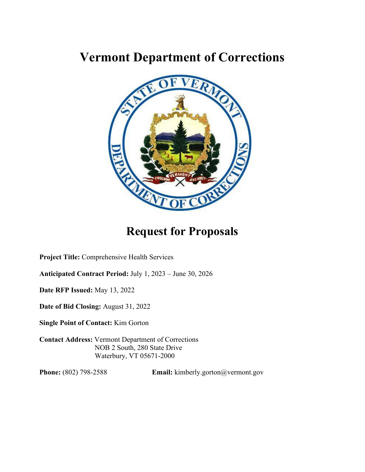# **Vermont Department of Corrections**



# **Request for Proposals**

**Project Title:** Comprehensive Health Services

**Anticipated Contract Period:** July 1, 2023 – June 30, 2026

**Date RFP Issued:** May 13, 2022

**Date of Bid Closing:** August 31, 2022

**Single Point of Contact:** Kim Gorton

**Contact Address:** Vermont Department of Corrections NOB 2 South, 280 State Drive Waterbury, VT 05671-2000

**Phone:** (802) 798-2588 **Email:** kimberly.gorton@vermont.gov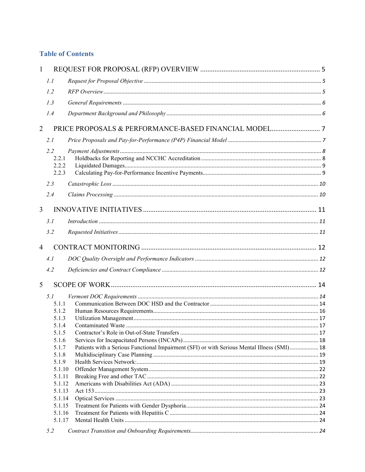# **Table of Contents**

| $\mathbf{1}$   |                |                                                                                             |  |
|----------------|----------------|---------------------------------------------------------------------------------------------|--|
|                | 1.1            |                                                                                             |  |
|                | 1.2            |                                                                                             |  |
|                | 1.3            |                                                                                             |  |
|                | 1.4            |                                                                                             |  |
| 2              |                |                                                                                             |  |
|                | 2.1            |                                                                                             |  |
|                | 2.2            |                                                                                             |  |
|                | 2.2.1          |                                                                                             |  |
|                | 2.2.2          |                                                                                             |  |
|                | 2.2.3          |                                                                                             |  |
|                | 2.3            |                                                                                             |  |
|                | 2.4            |                                                                                             |  |
| $\overline{3}$ |                |                                                                                             |  |
|                | 3.1            | Introduction 11                                                                             |  |
|                | 3.2            |                                                                                             |  |
| $\overline{4}$ |                |                                                                                             |  |
|                | 4.1            |                                                                                             |  |
|                |                |                                                                                             |  |
|                | 4.2            |                                                                                             |  |
| 5              |                |                                                                                             |  |
|                | 5.1            |                                                                                             |  |
|                | 5.1.1          |                                                                                             |  |
|                | 5.1.2          |                                                                                             |  |
|                | 5.1.3<br>5.1.4 |                                                                                             |  |
|                | 5.1.5          |                                                                                             |  |
|                | 5.1.6          |                                                                                             |  |
|                | 5.1.7          | Patients with a Serious Functional Impairment (SFI) or with Serious Mental Illness (SMI) 18 |  |
|                | 5.1.8          |                                                                                             |  |
|                | 5.1.9          |                                                                                             |  |
|                | 5.1.10         |                                                                                             |  |
|                | 5.1.11         |                                                                                             |  |
|                | 5.1.12         |                                                                                             |  |
|                | 5.1.13         |                                                                                             |  |
|                | 5.1.14         |                                                                                             |  |
|                | 5.1.15         |                                                                                             |  |
|                | 5.1.16         |                                                                                             |  |
|                | 5.1.17<br>5.2  |                                                                                             |  |
|                |                |                                                                                             |  |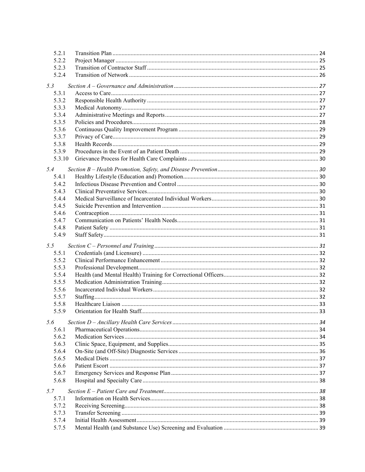| 5.2.1  |  |
|--------|--|
| 5.2.2  |  |
| 5.2.3  |  |
| 5.2.4  |  |
| 5.3    |  |
| 5.3.1  |  |
| 5.3.2  |  |
| 5.3.3  |  |
| 5.3.4  |  |
| 5.3.5  |  |
| 5.3.6  |  |
| 5.3.7  |  |
| 5.3.8  |  |
| 5.3.9  |  |
| 5.3.10 |  |
| 5.4    |  |
| 5.4.1  |  |
| 5.4.2  |  |
| 5.4.3  |  |
| 5.4.4  |  |
| 5.4.5  |  |
| 5.4.6  |  |
| 5.4.7  |  |
| 5.4.8  |  |
| 5.4.9  |  |
| 5.5    |  |
| 5.5.1  |  |
| 5.5.2  |  |
| 5.5.3  |  |
| 5.5.4  |  |
| 5.5.5  |  |
| 5.5.6  |  |
| 5.5.7  |  |
| 5.5.8  |  |
| 5.5.9  |  |
| 5.6    |  |
| 5.6.1  |  |
| 5.6.2  |  |
| 5.6.3  |  |
| 5.6.4  |  |
| 5.6.5  |  |
| 5.6.6  |  |
| 5.6.7  |  |
| 5.6.8  |  |
| 5.7    |  |
| 5.7.1  |  |
| 5.7.2  |  |
| 5.7.3  |  |
| 5.7.4  |  |
| 5.7.5  |  |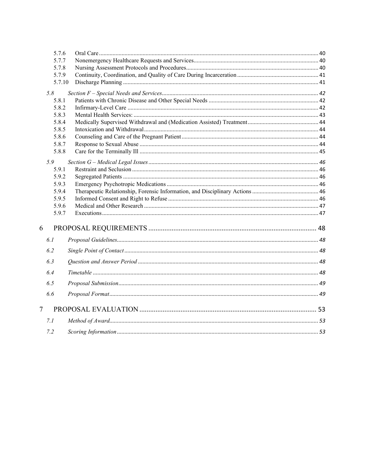|                | 5.7.6  |  |
|----------------|--------|--|
|                | 5.7.7  |  |
|                | 5.7.8  |  |
|                | 5.7.9  |  |
|                | 5.7.10 |  |
|                | 5.8    |  |
|                | 5.8.1  |  |
|                | 5.8.2  |  |
|                | 5.8.3  |  |
|                | 5.8.4  |  |
|                | 5.8.5  |  |
|                | 5.8.6  |  |
|                | 5.8.7  |  |
|                | 5.8.8  |  |
|                | 5.9    |  |
|                | 5.9.1  |  |
|                | 5.9.2  |  |
|                | 5.9.3  |  |
|                | 5.9.4  |  |
|                | 5.9.5  |  |
|                | 5.9.6  |  |
|                | 5.9.7  |  |
| 6              |        |  |
|                |        |  |
|                | 6.1    |  |
|                | 6.2    |  |
|                | 6.3    |  |
|                | 6.4    |  |
|                | 6.5    |  |
|                | 6.6    |  |
|                |        |  |
| $\overline{7}$ |        |  |
|                | 7.1    |  |
|                | 7.2    |  |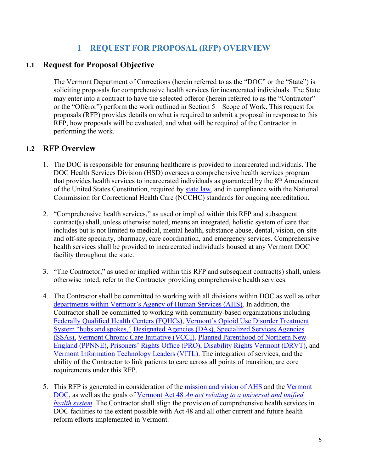# **1 REQUEST FOR PROPOSAL (RFP) OVERVIEW**

# <span id="page-4-1"></span><span id="page-4-0"></span>**1.1 Request for Proposal Objective**

The Vermont Department of Corrections (herein referred to as the "DOC" or the "State") is soliciting proposals for comprehensive health services for incarcerated individuals. The State may enter into a contract to have the selected offeror (herein referred to as the "Contractor" or the "Offeror") perform the work outlined in Section 5 – Scope of Work. This request for proposals (RFP) provides details on what is required to submit a proposal in response to this RFP, how proposals will be evaluated, and what will be required of the Contractor in performing the work.

# <span id="page-4-2"></span>**1.2 RFP Overview**

- 1. The DOC is responsible for ensuring healthcare is provided to incarcerated individuals. The DOC Health Services Division (HSD) oversees a comprehensive health services program that provides health services to incarcerated individuals as guaranteed by the  $8<sup>th</sup>$  Amendment of the United States Constitution, required by [state](https://legislature.vermont.gov/statutes/section/28/011/00801) law, and in compliance with the National Commission for Correctional Health Care (NCCHC) standards for ongoing accreditation.
- 2. "Comprehensive health services," as used or implied within this RFP and subsequent contract(s) shall, unless otherwise noted, means an integrated, holistic system of care that includes but is not limited to medical, mental health, substance abuse, dental, vision, on-site and off-site specialty, pharmacy, care coordination, and emergency services. Comprehensive health services shall be provided to incarcerated individuals housed at any Vermont DOC facility throughout the state.
- 3. "The Contractor," as used or implied within this RFP and subsequent contract(s) shall, unless otherwise noted, refer to the Contractor providing comprehensive health services.
- 4. The Contractor shall be committed to working with all divisions within DOC as well as other [departments within Vermont's Agency of Human Services \(AHS\).](https://humanservices.vermont.gov/about-us/departments) In addition, the Contractor shall be committed to working with community-based organizations including [Federally Qualified Health Centers \(FQHCs\),](https://dlp.vermont.gov/federally-qualified-health-directory) [Vermont's Opioid Use Disorder Treatment](https://blueprintforhealth.vermont.gov/about-blueprint/hub-and-spoke)  [System "hubs and spokes,"](https://blueprintforhealth.vermont.gov/about-blueprint/hub-and-spoke) [Designated Agencies \(DAs\), Specialized Services Agencies](https://mentalhealth.vermont.gov/individuals-and-families/designated-and-specialized-service-agencies)  [\(SSAs\),](https://mentalhealth.vermont.gov/individuals-and-families/designated-and-specialized-service-agencies) [Vermont Chronic Care Initiative \(VCCI\),](https://dvha.vermont.gov/providers/vermont-chronic-care-initiative) [Planned Parenthood of Northern New](https://www.plannedparenthood.org/planned-parenthood-northern-new-england/for-patients/locations-hours)  [England \(PPNNE\),](https://www.plannedparenthood.org/planned-parenthood-northern-new-england/for-patients/locations-hours) Prisoners' [Rights Office](https://defgen.vermont.gov/staff/central/prisoners-rights) (PRO), [Disability Rights Vermont \(DRVT\),](https://disabilityrightsvt.org/) and [Vermont Information Technology Leaders \(VITL\).](https://vitl.net/) The integration of services, and the ability of the Contractor to link patients to care across all points of transition, are core requirements under this RFP.
- 5. This RFP is generated in consideration of the [mission and vision of AHS](https://humanservices.vermont.gov/about-us/vision-mission-values-key-practices) and the Vermont [DOC,](https://doc.vermont.gov/about-us) as well as the goals of Vermont Act 48 *[An act relating to a universal and unified](http://www.leg.state.vt.us/docs/2012/acts/act048.pdf)  [health system](http://www.leg.state.vt.us/docs/2012/acts/act048.pdf)*. The Contractor shall align the provision of comprehensive health services in DOC facilities to the extent possible with Act 48 and all other current and future health reform efforts implemented in Vermont.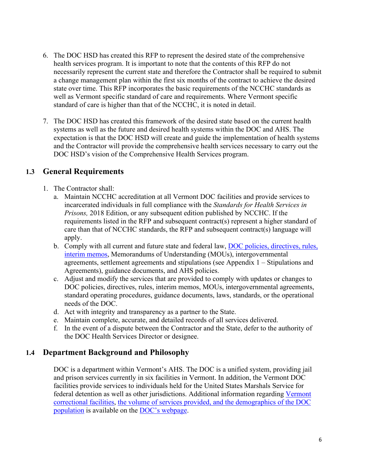- 6. The DOC HSD has created this RFP to represent the desired state of the comprehensive health services program. It is important to note that the contents of this RFP do not necessarily represent the current state and therefore the Contractor shall be required to submit a change management plan within the first six months of the contract to achieve the desired state over time. This RFP incorporates the basic requirements of the NCCHC standards as well as Vermont specific standard of care and requirements. Where Vermont specific standard of care is higher than that of the NCCHC, it is noted in detail.
- 7. The DOC HSD has created this framework of the desired state based on the current health systems as well as the future and desired health systems within the DOC and AHS. The expectation is that the DOC HSD will create and guide the implementation of health systems and the Contractor will provide the comprehensive health services necessary to carry out the DOC HSD's vision of the Comprehensive Health Services program.

# <span id="page-5-0"></span>**1.3 General Requirements**

- 1. The Contractor shall:
	- a. Maintain NCCHC accreditation at all Vermont DOC facilities and provide services to incarcerated individuals in full compliance with the *Standards for Health Services in Prisons,* 2018 Edition, or any subsequent edition published by NCCHC. If the requirements listed in the RFP and subsequent contract(s) represent a higher standard of care than that of NCCHC standards, the RFP and subsequent contract(s) language will apply.
	- b. Comply with all current and future state and federal law, [DOC policies, directives, rules,](https://doc.vermont.gov/policies-directives-and-rules)  [interim memos,](https://doc.vermont.gov/policies-directives-and-rules) Memorandums of Understanding (MOUs), intergovernmental agreements, settlement agreements and stipulations (see Appendix 1 – Stipulations and Agreements), guidance documents, and AHS policies.
	- c. Adjust and modify the services that are provided to comply with updates or changes to DOC policies, directives, rules, interim memos, MOUs, intergovernmental agreements, standard operating procedures, guidance documents, laws, standards, or the operational needs of the DOC.
	- d. Act with integrity and transparency as a partner to the State.
	- e. Maintain complete, accurate, and detailed records of all services delivered.
	- f. In the event of a dispute between the Contractor and the State, defer to the authority of the DOC Health Services Director or designee.

# <span id="page-5-1"></span>**1.4 Department Background and Philosophy**

DOC is a department within Vermont's AHS. The DOC is a unified system, providing jail and prison services currently in six facilities in Vermont. In addition, the Vermont DOC facilities provide services to individuals held for the United States Marshals Service for federal detention as well as other jurisdictions. Additional information regarding [Vermont](https://doc.vermont.gov/correctional-facilities)  [correctional facilities,](https://doc.vermont.gov/correctional-facilities) [the volume of services provided, and the demographics of the DOC](https://doc.vermont.gov/content/reports-and-data)  [population](https://doc.vermont.gov/content/reports-and-data) is available on the [DOC's webpage.](https://doc.vermont.gov/)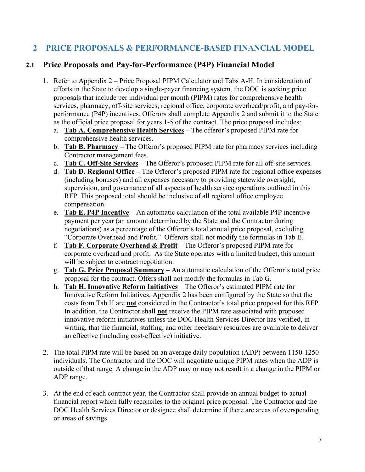# <span id="page-6-0"></span>**2 PRICE PROPOSALS & PERFORMANCE-BASED FINANCIAL MODEL**

# <span id="page-6-1"></span>**2.1 Price Proposals and Pay-for-Performance (P4P) Financial Model**

- 1. Refer to Appendix 2 Price Proposal PIPM Calculator and Tabs A-H. In consideration of efforts in the State to develop a single-payer financing system, the DOC is seeking price proposals that include per individual per month (PIPM) rates for comprehensive health services, pharmacy, off-site services, regional office, corporate overhead/profit, and pay-forperformance (P4P) incentives. Offerors shall complete Appendix 2 and submit it to the State as the official price proposal for years 1-5 of the contract. The price proposal includes:
	- a. **Tab A. Comprehensive Health Services** The offeror's proposed PIPM rate for comprehensive health services.
	- b. **Tab B. Pharmacy** The Offeror's proposed PIPM rate for pharmacy services including Contractor management fees.
	- c. **Tab C. Off-Site Services** The Offeror's proposed PIPM rate for all off-site services.
	- d. **Tab D. Regional Office** The Offeror's proposed PIPM rate for regional office expenses (including bonuses) and all expenses necessary to providing statewide oversight, supervision, and governance of all aspects of health service operations outlined in this RFP. This proposed total should be inclusive of all regional office employee compensation.
	- e. **Tab E. P4P Incentive** An automatic calculation of the total available P4P incentive payment per year (an amount determined by the State and the Contractor during negotiations) as a percentage of the Offeror's total annual price proposal, excluding "Corporate Overhead and Profit." Offerors shall not modify the formulas in Tab E.
	- f. **Tab F. Corporate Overhead & Profit** The Offeror's proposed PIPM rate for corporate overhead and profit. As the State operates with a limited budget, this amount will be subject to contract negotiation.
	- g. **Tab G. Price Proposal Summary** An automatic calculation of the Offeror's total price proposal for the contract. Offers shall not modify the formulas in Tab G.
	- h. **Tab H. Innovative Reform Initiatives** The Offeror's estimated PIPM rate for Innovative Reform Initiatives. Appendix 2 has been configured by the State so that the costs from Tab H are **not** considered in the Contractor's total price proposal for this RFP. In addition, the Contractor shall **not** receive the PIPM rate associated with proposed innovative reform initiatives unless the DOC Health Services Director has verified, in writing, that the financial, staffing, and other necessary resources are available to deliver an effective (including cost-effective) initiative.
- 2. The total PIPM rate will be based on an average daily population (ADP) between 1150-1250 individuals. The Contractor and the DOC will negotiate unique PIPM rates when the ADP is outside of that range. A change in the ADP may or may not result in a change in the PIPM or ADP range.
- 3. At the end of each contract year, the Contractor shall provide an annual budget-to-actual financial report which fully reconciles to the original price proposal. The Contractor and the DOC Health Services Director or designee shall determine if there are areas of overspending or areas of savings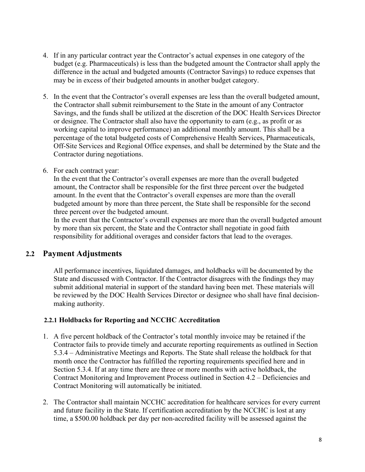- 4. If in any particular contract year the Contractor's actual expenses in one category of the budget (e.g. Pharmaceuticals) is less than the budgeted amount the Contractor shall apply the difference in the actual and budgeted amounts (Contractor Savings) to reduce expenses that may be in excess of their budgeted amounts in another budget category.
- 5. In the event that the Contractor's overall expenses are less than the overall budgeted amount, the Contractor shall submit reimbursement to the State in the amount of any Contractor Savings, and the funds shall be utilized at the discretion of the DOC Health Services Director or designee. The Contractor shall also have the opportunity to earn (e.g., as profit or as working capital to improve performance) an additional monthly amount. This shall be a percentage of the total budgeted costs of Comprehensive Health Services, Pharmaceuticals, Off-Site Services and Regional Office expenses, and shall be determined by the State and the Contractor during negotiations.
- 6. For each contract year:

In the event that the Contractor's overall expenses are more than the overall budgeted amount, the Contractor shall be responsible for the first three percent over the budgeted amount. In the event that the Contractor's overall expenses are more than the overall budgeted amount by more than three percent, the State shall be responsible for the second three percent over the budgeted amount.

In the event that the Contractor's overall expenses are more than the overall budgeted amount by more than six percent, the State and the Contractor shall negotiate in good faith responsibility for additional overages and consider factors that lead to the overages.

# <span id="page-7-0"></span>**2.2 Payment Adjustments**

All performance incentives, liquidated damages, and holdbacks will be documented by the State and discussed with Contractor. If the Contractor disagrees with the findings they may submit additional material in support of the standard having been met. These materials will be reviewed by the DOC Health Services Director or designee who shall have final decisionmaking authority.

# <span id="page-7-1"></span>**2.2.1 Holdbacks for Reporting and NCCHC Accreditation**

- 1. A five percent holdback of the Contractor's total monthly invoice may be retained if the Contractor fails to provide timely and accurate reporting requirements as outlined in Section 5.3.4 – Administrative Meetings and Reports. The State shall release the holdback for that month once the Contractor has fulfilled the reporting requirements specified here and in Section 5.3.4. If at any time there are three or more months with active holdback, the Contract Monitoring and Improvement Process outlined in Section 4.2 – Deficiencies and Contract Monitoring will automatically be initiated.
- 2. The Contractor shall maintain NCCHC accreditation for healthcare services for every current and future facility in the State. If certification accreditation by the NCCHC is lost at any time, a \$500.00 holdback per day per non-accredited facility will be assessed against the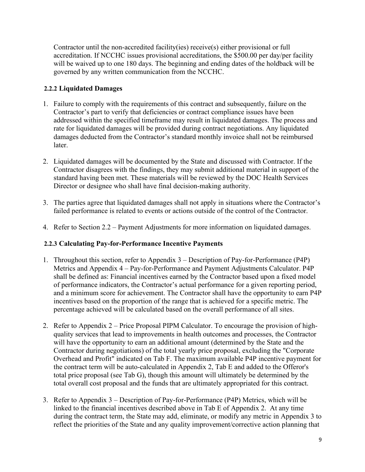Contractor until the non-accredited facility(ies) receive(s) either provisional or full accreditation. If NCCHC issues provisional accreditations, the \$500.00 per day/per facility will be waived up to one 180 days. The beginning and ending dates of the holdback will be governed by any written communication from the NCCHC.

# <span id="page-8-0"></span>**2.2.2 Liquidated Damages**

- 1. Failure to comply with the requirements of this contract and subsequently, failure on the Contractor's part to verify that deficiencies or contract compliance issues have been addressed within the specified timeframe may result in liquidated damages. The process and rate for liquidated damages will be provided during contract negotiations. Any liquidated damages deducted from the Contractor's standard monthly invoice shall not be reimbursed later.
- 2. Liquidated damages will be documented by the State and discussed with Contractor. If the Contractor disagrees with the findings, they may submit additional material in support of the standard having been met. These materials will be reviewed by the DOC Health Services Director or designee who shall have final decision-making authority.
- 3. The parties agree that liquidated damages shall not apply in situations where the Contractor's failed performance is related to events or actions outside of the control of the Contractor.
- 4. Refer to Section 2.2 Payment Adjustments for more information on liquidated damages.

# <span id="page-8-1"></span>**2.2.3 Calculating Pay-for-Performance Incentive Payments**

- 1. Throughout this section, refer to Appendix 3 Description of Pay-for-Performance (P4P) Metrics and Appendix 4 – Pay-for-Performance and Payment Adjustments Calculator. P4P shall be defined as: Financial incentives earned by the Contractor based upon a fixed model of performance indicators, the Contractor's actual performance for a given reporting period, and a minimum score for achievement. The Contractor shall have the opportunity to earn P4P incentives based on the proportion of the range that is achieved for a specific metric. The percentage achieved will be calculated based on the overall performance of all sites.
- 2. Refer to Appendix 2 Price Proposal PIPM Calculator. To encourage the provision of highquality services that lead to improvements in health outcomes and processes, the Contractor will have the opportunity to earn an additional amount (determined by the State and the Contractor during negotiations) of the total yearly price proposal, excluding the "Corporate Overhead and Profit" indicated on Tab F. The maximum available P4P incentive payment for the contract term will be auto-calculated in Appendix 2, Tab E and added to the Offeror's total price proposal (see Tab G), though this amount will ultimately be determined by the total overall cost proposal and the funds that are ultimately appropriated for this contract.
- 3. Refer to Appendix 3 Description of Pay-for-Performance (P4P) Metrics, which will be linked to the financial incentives described above in Tab E of Appendix 2. At any time during the contract term, the State may add, eliminate, or modify any metric in Appendix 3 to reflect the priorities of the State and any quality improvement/corrective action planning that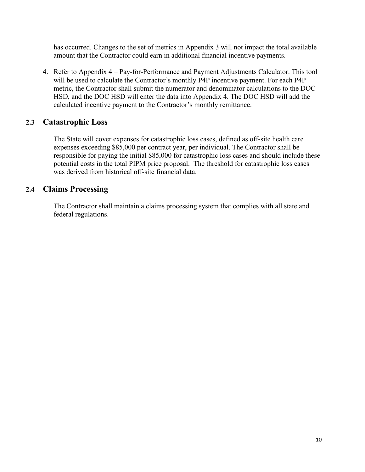has occurred. Changes to the set of metrics in Appendix 3 will not impact the total available amount that the Contractor could earn in additional financial incentive payments.

4. Refer to Appendix 4 – Pay-for-Performance and Payment Adjustments Calculator. This tool will be used to calculate the Contractor's monthly P4P incentive payment. For each P4P metric, the Contractor shall submit the numerator and denominator calculations to the DOC HSD, and the DOC HSD will enter the data into Appendix 4. The DOC HSD will add the calculated incentive payment to the Contractor's monthly remittance.

# <span id="page-9-0"></span>**2.3 Catastrophic Loss**

The State will cover expenses for catastrophic loss cases, defined as off-site health care expenses exceeding \$85,000 per contract year, per individual. The Contractor shall be responsible for paying the initial \$85,000 for catastrophic loss cases and should include these potential costs in the total PIPM price proposal. The threshold for catastrophic loss cases was derived from historical off-site financial data.

# <span id="page-9-1"></span>**2.4 Claims Processing**

The Contractor shall maintain a claims processing system that complies with all state and federal regulations.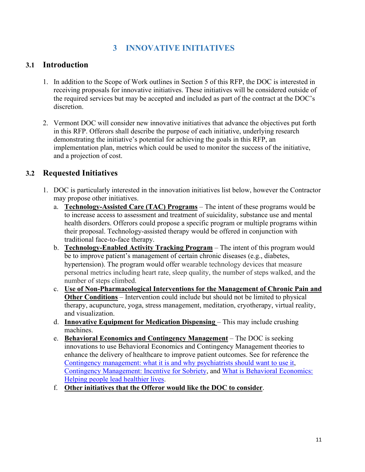# **3 INNOVATIVE INITIATIVES**

# <span id="page-10-1"></span><span id="page-10-0"></span>**3.1 Introduction**

- 1. In addition to the Scope of Work outlines in Section 5 of this RFP, the DOC is interested in receiving proposals for innovative initiatives. These initiatives will be considered outside of the required services but may be accepted and included as part of the contract at the DOC's discretion.
- 2. Vermont DOC will consider new innovative initiatives that advance the objectives put forth in this RFP. Offerors shall describe the purpose of each initiative, underlying research demonstrating the initiative's potential for achieving the goals in this RFP, an implementation plan, metrics which could be used to monitor the success of the initiative, and a projection of cost.

# <span id="page-10-2"></span>**3.2 Requested Initiatives**

- 1. DOC is particularly interested in the innovation initiatives list below, however the Contractor may propose other initiatives.
	- a. **Technology-Assisted Care (TAC) Programs** The intent of these programs would be to increase access to assessment and treatment of suicidality, substance use and mental health disorders. Offerors could propose a specific program or multiple programs within their proposal. Technology-assisted therapy would be offered in conjunction with traditional face-to-face therapy.
	- b. **Technology-Enabled Activity Tracking Program** The intent of this program would be to improve patient's management of certain chronic diseases (e.g., diabetes, hypertension). The program would offer wearable technology devices that measure personal metrics including heart rate, sleep quality, the number of steps walked, and the number of steps climbed.
	- c. **Use of Non-Pharmacological Interventions for the Management of Chronic Pain and Other Conditions** – Intervention could include but should not be limited to physical therapy, acupuncture, yoga, stress management, meditation, cryotherapy, virtual reality, and visualization.
	- d. **Innovative Equipment for Medication Dispensing**  This may include crushing machines.
	- e. **Behavioral Economics and Contingency Management** The DOC is seeking innovations to use Behavioral Economics and Contingency Management theories to enhance the delivery of healthcare to improve patient outcomes. See for reference the [Contingency management: what it is and why psychiatrists should want to use it,](https://www.ncbi.nlm.nih.gov/pmc/articles/PMC3083448/) [Contingency Management: Incentive for Sobriety,](https://pubs.niaaa.nih.gov/publications/arh23-2/122-127.pdf) and [What is Behavioral Economics:](https://www.psychologytoday.com/us/blog/science-choice/201705/what-is-behavioral-economics)  [Helping people lead healthier lives.](https://www.psychologytoday.com/us/blog/science-choice/201705/what-is-behavioral-economics)
	- f. **Other initiatives that the Offeror would like the DOC to consider**.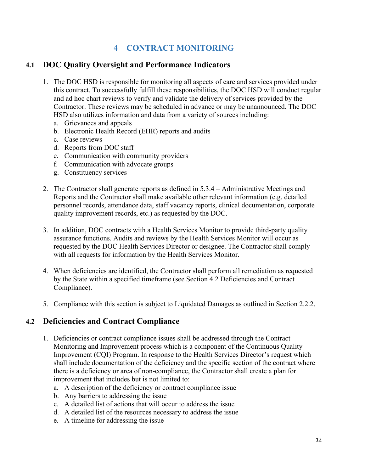# **4 CONTRACT MONITORING**

# <span id="page-11-1"></span><span id="page-11-0"></span>**4.1 DOC Quality Oversight and Performance Indicators**

- 1. The DOC HSD is responsible for monitoring all aspects of care and services provided under this contract. To successfully fulfill these responsibilities, the DOC HSD will conduct regular and ad hoc chart reviews to verify and validate the delivery of services provided by the Contractor. These reviews may be scheduled in advance or may be unannounced. The DOC HSD also utilizes information and data from a variety of sources including:
	- a. Grievances and appeals
	- b. Electronic Health Record (EHR) reports and audits
	- c. Case reviews
	- d. Reports from DOC staff
	- e. Communication with community providers
	- f. Communication with advocate groups
	- g. Constituency services
- 2. The Contractor shall generate reports as defined in 5.3.4 Administrative Meetings and Reports and the Contractor shall make available other relevant information (e.g. detailed personnel records, attendance data, staff vacancy reports, clinical documentation, corporate quality improvement records, etc.) as requested by the DOC.
- 3. In addition, DOC contracts with a Health Services Monitor to provide third-party quality assurance functions. Audits and reviews by the Health Services Monitor will occur as requested by the DOC Health Services Director or designee. The Contractor shall comply with all requests for information by the Health Services Monitor.
- 4. When deficiencies are identified, the Contractor shall perform all remediation as requested by the State within a specified timeframe (see Section 4.2 Deficiencies and Contract Compliance).
- <span id="page-11-2"></span>5. Compliance with this section is subject to Liquidated Damages as outlined in Section 2.2.2.

# **4.2 Deficiencies and Contract Compliance**

- 1. Deficiencies or contract compliance issues shall be addressed through the Contract Monitoring and Improvement process which is a component of the Continuous Quality Improvement (CQI) Program. In response to the Health Services Director's request which shall include documentation of the deficiency and the specific section of the contract where there is a deficiency or area of non-compliance, the Contractor shall create a plan for improvement that includes but is not limited to:
	- a. A description of the deficiency or contract compliance issue
	- b. Any barriers to addressing the issue
	- c. A detailed list of actions that will occur to address the issue
	- d. A detailed list of the resources necessary to address the issue
	- e. A timeline for addressing the issue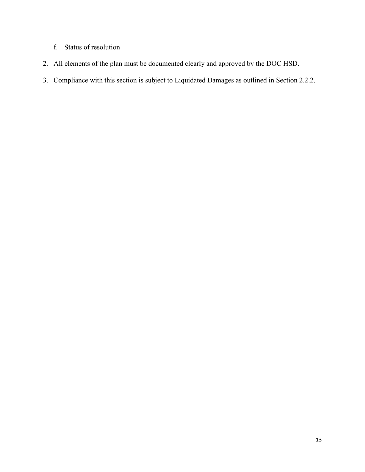- f. Status of resolution
- 2. All elements of the plan must be documented clearly and approved by the DOC HSD.
- 3. Compliance with this section is subject to Liquidated Damages as outlined in Section 2.2.2.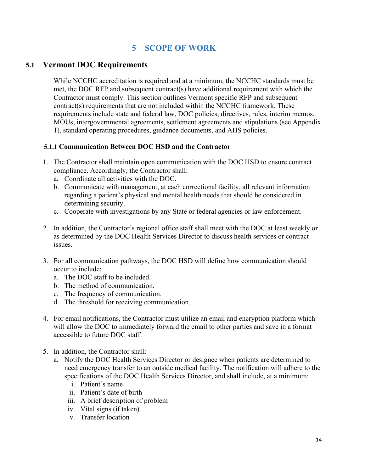# **5 SCOPE OF WORK**

# <span id="page-13-1"></span><span id="page-13-0"></span>**5.1 Vermont DOC Requirements**

While NCCHC accreditation is required and at a minimum, the NCCHC standards must be met, the DOC RFP and subsequent contract(s) have additional requirement with which the Contractor must comply. This section outlines Vermont specific RFP and subsequent contract(s) requirements that are not included within the NCCHC framework. These requirements include state and federal law, DOC policies, directives, rules, interim memos, MOUs, intergovernmental agreements, settlement agreements and stipulations (see Appendix 1), standard operating procedures, guidance documents, and AHS policies.

# <span id="page-13-2"></span>**5.1.1 Communication Between DOC HSD and the Contractor**

- 1. The Contractor shall maintain open communication with the DOC HSD to ensure contract compliance. Accordingly, the Contractor shall:
	- a. Coordinate all activities with the DOC.
	- b. Communicate with management, at each correctional facility, all relevant information regarding a patient's physical and mental health needs that should be considered in determining security.
	- c. Cooperate with investigations by any State or federal agencies or law enforcement.
- 2. In addition, the Contractor's regional office staff shall meet with the DOC at least weekly or as determined by the DOC Health Services Director to discuss health services or contract issues.
- 3. For all communication pathways, the DOC HSD will define how communication should occur to include:
	- a. The DOC staff to be included.
	- b. The method of communication.
	- c. The frequency of communication.
	- d. The threshold for receiving communication.
- 4. For email notifications, the Contractor must utilize an email and encryption platform which will allow the DOC to immediately forward the email to other parties and save in a format accessible to future DOC staff.
- 5. In addition, the Contractor shall:
	- a. Notify the DOC Health Services Director or designee when patients are determined to need emergency transfer to an outside medical facility. The notification will adhere to the specifications of the DOC Health Services Director, and shall include, at a minimum:
		- i. Patient's name
		- ii. Patient's date of birth
		- iii. A brief description of problem
		- iv. Vital signs (if taken)
		- v. Transfer location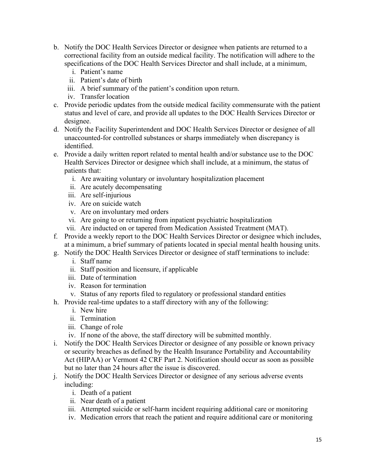- b. Notify the DOC Health Services Director or designee when patients are returned to a correctional facility from an outside medical facility. The notification will adhere to the specifications of the DOC Health Services Director and shall include, at a minimum,
	- i. Patient's name
	- ii. Patient's date of birth
	- iii. A brief summary of the patient's condition upon return.
	- iv. Transfer location
- c. Provide periodic updates from the outside medical facility commensurate with the patient status and level of care, and provide all updates to the DOC Health Services Director or designee.
- d. Notify the Facility Superintendent and DOC Health Services Director or designee of all unaccounted-for controlled substances or sharps immediately when discrepancy is identified.
- e. Provide a daily written report related to mental health and/or substance use to the DOC Health Services Director or designee which shall include, at a minimum, the status of patients that:
	- i. Are awaiting voluntary or involuntary hospitalization placement
	- ii. Are acutely decompensating
	- iii. Are self-injurious
	- iv. Are on suicide watch
	- v. Are on involuntary med orders
	- vi. Are going to or returning from inpatient psychiatric hospitalization
	- vii. Are inducted on or tapered from Medication Assisted Treatment (MAT).
- f. Provide a weekly report to the DOC Health Services Director or designee which includes, at a minimum, a brief summary of patients located in special mental health housing units.
- g. Notify the DOC Health Services Director or designee of staff terminations to include:
	- i. Staff name
	- ii. Staff position and licensure, if applicable
	- iii. Date of termination
	- iv. Reason for termination
	- v. Status of any reports filed to regulatory or professional standard entities
- h. Provide real-time updates to a staff directory with any of the following:
	- i. New hire
	- ii. Termination
	- iii. Change of role
	- iv. If none of the above, the staff directory will be submitted monthly.
- i. Notify the DOC Health Services Director or designee of any possible or known privacy or security breaches as defined by the Health Insurance Portability and Accountability Act (HIPAA) or Vermont 42 CRF Part 2. Notification should occur as soon as possible but no later than 24 hours after the issue is discovered.
- j. Notify the DOC Health Services Director or designee of any serious adverse events including:
	- i. Death of a patient
	- ii. Near death of a patient
	- iii. Attempted suicide or self-harm incident requiring additional care or monitoring
	- iv. Medication errors that reach the patient and require additional care or monitoring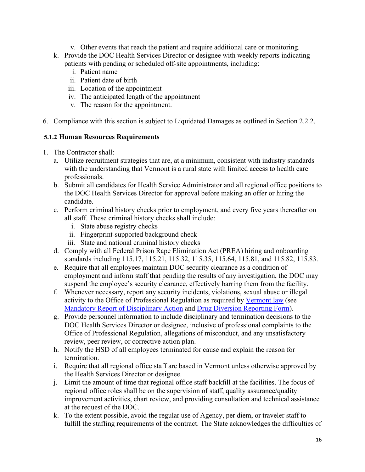- v. Other events that reach the patient and require additional care or monitoring.
- k. Provide the DOC Health Services Director or designee with weekly reports indicating patients with pending or scheduled off-site appointments, including:
	- i. Patient name
	- ii. Patient date of birth
	- iii. Location of the appointment
	- iv. The anticipated length of the appointment
	- v. The reason for the appointment.
- 6. Compliance with this section is subject to Liquidated Damages as outlined in Section 2.2.2.

# <span id="page-15-0"></span>**5.1.2 Human Resources Requirements**

- 1. The Contractor shall:
	- a. Utilize recruitment strategies that are, at a minimum, consistent with industry standards with the understanding that Vermont is a rural state with limited access to health care professionals.
	- b. Submit all candidates for Health Service Administrator and all regional office positions to the DOC Health Services Director for approval before making an offer or hiring the candidate.
	- c. Perform criminal history checks prior to employment, and every five years thereafter on all staff. These criminal history checks shall include:
		- i. State abuse registry checks
		- ii. Fingerprint-supported background check
		- iii. State and national criminal history checks
	- d. Comply with all Federal Prison Rape Elimination Act (PREA) hiring and onboarding standards including 115.17, 115.21, 115.32, 115.35, 115.64, 115.81, and 115.82, 115.83.
	- e. Require that all employees maintain DOC security clearance as a condition of employment and inform staff that pending the results of any investigation, the DOC may suspend the employee's security clearance, effectively barring them from the facility.
	- f. Whenever necessary, report any security incidents, violations, sexual abuse or illegal activity to the Office of Professional Regulation as required by [Vermont law](https://legislature.vermont.gov/statutes/section/03/005/00128) (see [Mandatory Report of Disciplinary Action](https://sos.vermont.gov/media/xumh3aa0/opr-mandatory-reporting-form-2015-12-08.pdf) and [Drug Diversion Reporting Form\)](https://sos.vermont.gov/media/venawaoz/drug-diversion-report-form-2020.pdf).
	- g. Provide personnel information to include disciplinary and termination decisions to the DOC Health Services Director or designee, inclusive of professional complaints to the Office of Professional Regulation, allegations of misconduct, and any unsatisfactory review, peer review, or corrective action plan.
	- h. Notify the HSD of all employees terminated for cause and explain the reason for termination.
	- i. Require that all regional office staff are based in Vermont unless otherwise approved by the Health Services Director or designee.
	- j. Limit the amount of time that regional office staff backfill at the facilities. The focus of regional office roles shall be on the supervision of staff, quality assurance/quality improvement activities, chart review, and providing consultation and technical assistance at the request of the DOC.
	- k. To the extent possible, avoid the regular use of Agency, per diem, or traveler staff to fulfill the staffing requirements of the contract. The State acknowledges the difficulties of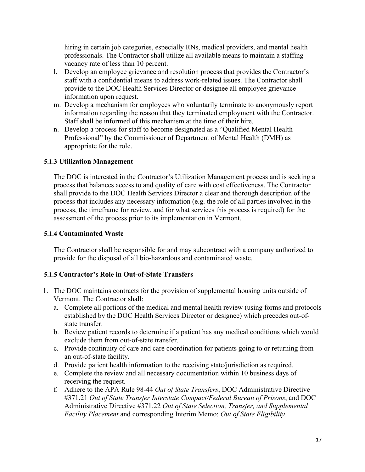hiring in certain job categories, especially RNs, medical providers, and mental health professionals. The Contractor shall utilize all available means to maintain a staffing vacancy rate of less than 10 percent.

- l. Develop an employee grievance and resolution process that provides the Contractor's staff with a confidential means to address work-related issues. The Contractor shall provide to the DOC Health Services Director or designee all employee grievance information upon request.
- m. Develop a mechanism for employees who voluntarily terminate to anonymously report information regarding the reason that they terminated employment with the Contractor. Staff shall be informed of this mechanism at the time of their hire.
- n. Develop a process for staff to become designated as a "Qualified Mental Health Professional" by the Commissioner of Department of Mental Health (DMH) as appropriate for the role.

#### <span id="page-16-0"></span>**5.1.3 Utilization Management**

The DOC is interested in the Contractor's Utilization Management process and is seeking a process that balances access to and quality of care with cost effectiveness. The Contractor shall provide to the DOC Health Services Director a clear and thorough description of the process that includes any necessary information (e.g. the role of all parties involved in the process, the timeframe for review, and for what services this process is required) for the assessment of the process prior to its implementation in Vermont.

#### <span id="page-16-1"></span>**5.1.4 Contaminated Waste**

The Contractor shall be responsible for and may subcontract with a company authorized to provide for the disposal of all bio-hazardous and contaminated waste.

# <span id="page-16-2"></span>**5.1.5 Contractor's Role in Out-of-State Transfers**

- 1. The DOC maintains contracts for the provision of supplemental housing units outside of Vermont. The Contractor shall:
	- a. Complete all portions of the medical and mental health review (using forms and protocols established by the DOC Health Services Director or designee) which precedes out-ofstate transfer.
	- b. Review patient records to determine if a patient has any medical conditions which would exclude them from out-of-state transfer.
	- c. Provide continuity of care and care coordination for patients going to or returning from an out-of-state facility.
	- d. Provide patient health information to the receiving state/jurisdiction as required.
	- e. Complete the review and all necessary documentation within 10 business days of receiving the request.
	- f. Adhere to the APA Rule 98-44 *Out of State Transfers*, DOC Administrative Directive #371.21 *Out of State Transfer Interstate Compact/Federal Bureau of Prisons*, and DOC Administrative Directive #371.22 *Out of State Selection, Transfer, and Supplemental Facility Placement* and corresponding Interim Memo: *Out of State Eligibility*.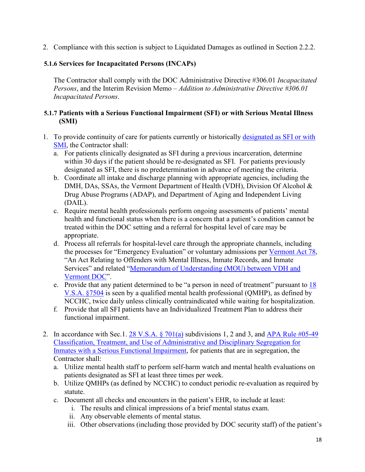2. Compliance with this section is subject to Liquidated Damages as outlined in Section 2.2.2.

# <span id="page-17-0"></span>**5.1.6 Services for Incapacitated Persons (INCAPs)**

The Contractor shall comply with the DOC Administrative Directive #306.01 *Incapacitated Persons*, and the Interim Revision Memo – *Addition to Administrative Directive #306.01 Incapacitated Persons*.

# <span id="page-17-1"></span>**5.1.7 Patients with a Serious Functional Impairment (SFI) or with Serious Mental Illness (SMI)**

- 1. To provide continuity of care for patients currently or historically [designated as SFI or with](https://legislature.vermont.gov/statutes/section/28/011/00906)  [SMI,](https://legislature.vermont.gov/statutes/section/28/011/00906) the Contractor shall:
	- a. For patients clinically designated as SFI during a previous incarceration, determine within 30 days if the patient should be re-designated as SFI. For patients previously designated as SFI, there is no predetermination in advance of meeting the criteria.
	- b. Coordinate all intake and discharge planning with appropriate agencies, including the DMH, DAs, SSAs, the Vermont Department of Health (VDH), Division Of Alcohol & Drug Abuse Programs (ADAP), and Department of Aging and Independent Living (DAIL).
	- c. Require mental health professionals perform ongoing assessments of patients' mental health and functional status when there is a concern that a patient's condition cannot be treated within the DOC setting and a referral for hospital level of care may be appropriate.
	- d. Process all referrals for hospital-level care through the appropriate channels, including the processes for "Emergency Evaluation" or voluntary admissions per [Vermont Act 78,](https://legislature.vermont.gov/Documents/2018/WorkGroups/House%20Corrections%20and%20Institutions/Offender%20&%20Inmate%20Records/ACT78%7EHelena%20Gardner%7EAs%20Enacted%20%7E4-4-2018.pdf) "An Act Relating to Offenders with Mental Illness, Inmate Records, and Inmate Services" and related ["Memorandum of Understanding \(MOU\) between VDH and](http://doc.vermont.gov/sites/correct/files/documents/Act%2078%20MOU%20and%20Appendices.pdf)  [Vermont DOC"](http://doc.vermont.gov/sites/correct/files/documents/Act%2078%20MOU%20and%20Appendices.pdf).
	- e. Provide that any patient determined to be "a person in need of treatment" pursuant to [18](https://legislature.vermont.gov/statutes/section/18/179/07508)  [V.S.A. §7504](https://legislature.vermont.gov/statutes/section/18/179/07508) is seen by a qualified mental health professional (QMHP), as defined by NCCHC, twice daily unless clinically contraindicated while waiting for hospitalization.
	- f. Provide that all SFI patients have an Individualized Treatment Plan to address their functional impairment.
- 2. In accordance with Sec.1.  $\frac{28 \text{ V.S.A. } }{9.701(a)}$  subdivisions 1, 2 and 3, and APA Rule #05-49 [Classification, Treatment, and Use of Administrative and Disciplinary Segregation for](https://doc.vermont.gov/sites/correct/files/documents/policy/correctional/370-Classification-Treatment-and-Use-of-Admin-and-Discip-Seg-for-Inmates-with-a-SMI.pdf)  [Inmates with a Serious Functional Impairment,](https://doc.vermont.gov/sites/correct/files/documents/policy/correctional/370-Classification-Treatment-and-Use-of-Admin-and-Discip-Seg-for-Inmates-with-a-SMI.pdf) for patients that are in segregation, the Contractor shall:
	- a. Utilize mental health staff to perform self-harm watch and mental health evaluations on patients designated as SFI at least three times per week.
	- b. Utilize QMHPs (as defined by NCCHC) to conduct periodic re-evaluation as required by statute.
	- c. Document all checks and encounters in the patient's EHR, to include at least:
		- i. The results and clinical impressions of a brief mental status exam.
		- ii. Any observable elements of mental status.
		- iii. Other observations (including those provided by DOC security staff) of the patient's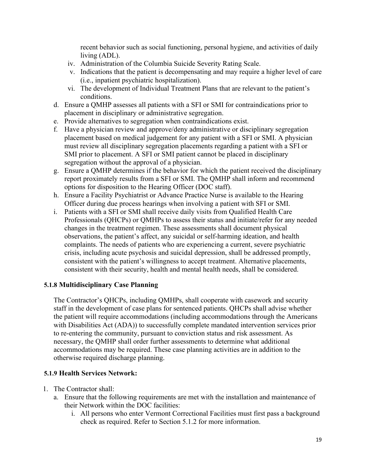recent behavior such as social functioning, personal hygiene, and activities of daily living (ADL).

- iv. Administration of the Columbia Suicide Severity Rating Scale.
- v. Indications that the patient is decompensating and may require a higher level of care (i.e., inpatient psychiatric hospitalization).
- vi. The development of Individual Treatment Plans that are relevant to the patient's conditions.
- d. Ensure a QMHP assesses all patients with a SFI or SMI for contraindications prior to placement in disciplinary or administrative segregation.
- e. Provide alternatives to segregation when contraindications exist.
- f. Have a physician review and approve/deny administrative or disciplinary segregation placement based on medical judgement for any patient with a SFI or SMI. A physician must review all disciplinary segregation placements regarding a patient with a SFI or SMI prior to placement. A SFI or SMI patient cannot be placed in disciplinary segregation without the approval of a physician.
- g. Ensure a QMHP determines if the behavior for which the patient received the disciplinary report proximately results from a SFI or SMI. The QMHP shall inform and recommend options for disposition to the Hearing Officer (DOC staff).
- h. Ensure a Facility Psychiatrist or Advance Practice Nurse is available to the Hearing Officer during due process hearings when involving a patient with SFI or SMI.
- i. Patients with a SFI or SMI shall receive daily visits from Qualified Health Care Professionals (QHCPs) or QMHPs to assess their status and initiate/refer for any needed changes in the treatment regimen. These assessments shall document physical observations, the patient's affect, any suicidal or self-harming ideation, and health complaints. The needs of patients who are experiencing a current, severe psychiatric crisis, including acute psychosis and suicidal depression, shall be addressed promptly, consistent with the patient's willingness to accept treatment. Alternative placements, consistent with their security, health and mental health needs, shall be considered.

# <span id="page-18-0"></span>**5.1.8 Multidisciplinary Case Planning**

The Contractor's QHCPs, including QMHPs, shall cooperate with casework and security staff in the development of case plans for sentenced patients. QHCPs shall advise whether the patient will require accommodations (including accommodations through the Americans with Disabilities Act (ADA)) to successfully complete mandated intervention services prior to re-entering the community, pursuant to conviction status and risk assessment. As necessary, the QMHP shall order further assessments to determine what additional accommodations may be required. These case planning activities are in addition to the otherwise required discharge planning.

# <span id="page-18-1"></span>**5.1.9 Health Services Network:**

- 1. The Contractor shall:
	- a. Ensure that the following requirements are met with the installation and maintenance of their Network within the DOC facilities:
		- i. All persons who enter Vermont Correctional Facilities must first pass a background check as required. Refer to Section 5.1.2 for more information.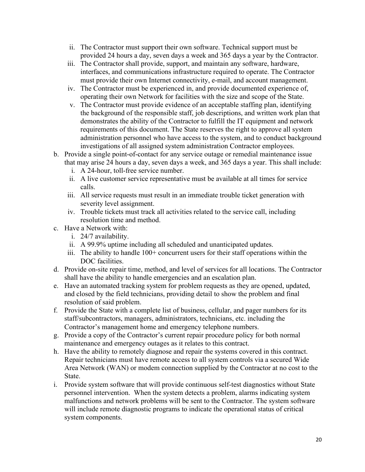- ii. The Contractor must support their own software. Technical support must be provided 24 hours a day, seven days a week and 365 days a year by the Contractor.
- iii. The Contractor shall provide, support, and maintain any software, hardware, interfaces, and communications infrastructure required to operate. The Contractor must provide their own Internet connectivity, e-mail, and account management.
- iv. The Contractor must be experienced in, and provide documented experience of, operating their own Network for facilities with the size and scope of the State.
- v. The Contractor must provide evidence of an acceptable staffing plan, identifying the background of the responsible staff, job descriptions, and written work plan that demonstrates the ability of the Contractor to fulfill the IT equipment and network requirements of this document. The State reserves the right to approve all system administration personnel who have access to the system, and to conduct background investigations of all assigned system administration Contractor employees.
- b. Provide a single point-of-contact for any service outage or remedial maintenance issue that may arise 24 hours a day, seven days a week, and 365 days a year. This shall include:
	- i. A 24-hour, toll-free service number.
	- ii. A live customer service representative must be available at all times for service calls.
	- iii. All service requests must result in an immediate trouble ticket generation with severity level assignment.
	- iv. Trouble tickets must track all activities related to the service call, including resolution time and method.
- c. Have a Network with:
	- i. 24/7 availability.
	- ii. A 99.9% uptime including all scheduled and unanticipated updates.
	- iii. The ability to handle 100+ concurrent users for their staff operations within the DOC facilities.
- d. Provide on-site repair time, method, and level of services for all locations. The Contractor shall have the ability to handle emergencies and an escalation plan.
- e. Have an automated tracking system for problem requests as they are opened, updated, and closed by the field technicians, providing detail to show the problem and final resolution of said problem.
- f. Provide the State with a complete list of business, cellular, and pager numbers for its staff/subcontractors, managers, administrators, technicians, etc. including the Contractor's management home and emergency telephone numbers.
- g. Provide a copy of the Contractor's current repair procedure policy for both normal maintenance and emergency outages as it relates to this contract.
- h. Have the ability to remotely diagnose and repair the systems covered in this contract. Repair technicians must have remote access to all system controls via a secured Wide Area Network (WAN) or modem connection supplied by the Contractor at no cost to the State.
- i. Provide system software that will provide continuous self-test diagnostics without State personnel intervention. When the system detects a problem, alarms indicating system malfunctions and network problems will be sent to the Contractor. The system software will include remote diagnostic programs to indicate the operational status of critical system components.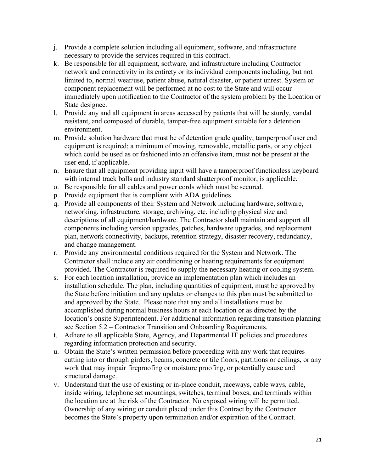- j. Provide a complete solution including all equipment, software, and infrastructure necessary to provide the services required in this contract.
- k. Be responsible for all equipment, software, and infrastructure including Contractor network and connectivity in its entirety or its individual components including, but not limited to, normal wear/use, patient abuse, natural disaster, or patient unrest. System or component replacement will be performed at no cost to the State and will occur immediately upon notification to the Contractor of the system problem by the Location or State designee.
- l. Provide any and all equipment in areas accessed by patients that will be sturdy, vandal resistant, and composed of durable, tamper-free equipment suitable for a detention environment.
- m. Provide solution hardware that must be of detention grade quality; tamperproof user end equipment is required; a minimum of moving, removable, metallic parts, or any object which could be used as or fashioned into an offensive item, must not be present at the user end, if applicable.
- n. Ensure that all equipment providing input will have a tamperproof functionless keyboard with internal track balls and industry standard shatterproof monitor, is applicable.
- o. Be responsible for all cables and power cords which must be secured.
- p. Provide equipment that is compliant with ADA guidelines.
- q. Provide all components of their System and Network including hardware, software, networking, infrastructure, storage, archiving, etc. including physical size and descriptions of all equipment/hardware. The Contractor shall maintain and support all components including version upgrades, patches, hardware upgrades, and replacement plan, network connectivity, backups, retention strategy, disaster recovery, redundancy, and change management.
- r. Provide any environmental conditions required for the System and Network. The Contractor shall include any air conditioning or heating requirements for equipment provided. The Contractor is required to supply the necessary heating or cooling system.
- s. For each location installation, provide an implementation plan which includes an installation schedule. The plan, including quantities of equipment, must be approved by the State before initiation and any updates or changes to this plan must be submitted to and approved by the State. Please note that any and all installations must be accomplished during normal business hours at each location or as directed by the location's onsite Superintendent. For additional information regarding transition planning see Section 5.2 – Contractor Transition and Onboarding Requirements.
- t. Adhere to all applicable State, Agency, and Departmental IT policies and procedures regarding information protection and security.
- u. Obtain the State's written permission before proceeding with any work that requires cutting into or through girders, beams, concrete or tile floors, partitions or ceilings, or any work that may impair fireproofing or moisture proofing, or potentially cause and structural damage.
- v. Understand that the use of existing or in-place conduit, raceways, cable ways, cable, inside wiring, telephone set mountings, switches, terminal boxes, and terminals within the location are at the risk of the Contractor. No exposed wiring will be permitted. Ownership of any wiring or conduit placed under this Contract by the Contractor becomes the State's property upon termination and/or expiration of the Contract.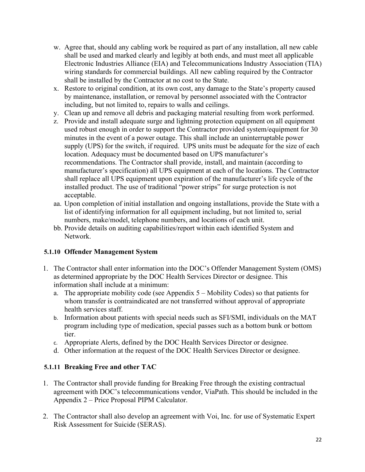- w. Agree that, should any cabling work be required as part of any installation, all new cable shall be used and marked clearly and legibly at both ends, and must meet all applicable Electronic Industries Alliance (EIA) and Telecommunications Industry Association (TIA) wiring standards for commercial buildings. All new cabling required by the Contractor shall be installed by the Contractor at no cost to the State.
- x. Restore to original condition, at its own cost, any damage to the State's property caused by maintenance, installation, or removal by personnel associated with the Contractor including, but not limited to, repairs to walls and ceilings.
- y. Clean up and remove all debris and packaging material resulting from work performed.
- z. Provide and install adequate surge and lightning protection equipment on all equipment used robust enough in order to support the Contractor provided system/equipment for 30 minutes in the event of a power outage. This shall include an uninterruptable power supply (UPS) for the switch, if required. UPS units must be adequate for the size of each location. Adequacy must be documented based on UPS manufacturer's recommendations. The Contractor shall provide, install, and maintain (according to manufacturer's specification) all UPS equipment at each of the locations. The Contractor shall replace all UPS equipment upon expiration of the manufacturer's life cycle of the installed product. The use of traditional "power strips" for surge protection is not acceptable.
- aa. Upon completion of initial installation and ongoing installations, provide the State with a list of identifying information for all equipment including, but not limited to, serial numbers, make/model, telephone numbers, and locations of each unit.
- bb. Provide details on auditing capabilities/report within each identified System and Network.

# <span id="page-21-0"></span>**5.1.10 Offender Management System**

- 1. The Contractor shall enter information into the DOC's Offender Management System (OMS) as determined appropriate by the DOC Health Services Director or designee. This information shall include at a minimum:
	- a. The appropriate mobility code (see Appendix 5 Mobility Codes) so that patients for whom transfer is contraindicated are not transferred without approval of appropriate health services staff.
	- b. Information about patients with special needs such as SFI/SMI, individuals on the MAT program including type of medication, special passes such as a bottom bunk or bottom tier.
	- c. Appropriate Alerts, defined by the DOC Health Services Director or designee.
	- d. Other information at the request of the DOC Health Services Director or designee.

# <span id="page-21-1"></span>**5.1.11 Breaking Free and other TAC**

- 1. The Contractor shall provide funding for Breaking Free through the existing contractual agreement with DOC's telecommunications vendor, ViaPath. This should be included in the Appendix 2 – Price Proposal PIPM Calculator.
- 2. The Contractor shall also develop an agreement with Voi, Inc. for use of Systematic Expert Risk Assessment for Suicide (SERAS).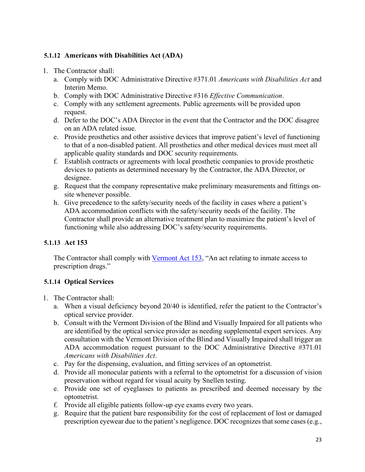# <span id="page-22-0"></span>**5.1.12 Americans with Disabilities Act (ADA)**

- 1. The Contractor shall:
	- a. Comply with DOC Administrative Directive #371.01 *Americans with Disabilities Act* and Interim Memo.
	- b. Comply with DOC Administrative Directive #316 *Effective Communication*.
	- c. Comply with any settlement agreements. Public agreements will be provided upon request.
	- d. Defer to the DOC's ADA Director in the event that the Contractor and the DOC disagree on an ADA related issue.
	- e. Provide prosthetics and other assistive devices that improve patient's level of functioning to that of a non-disabled patient. All prosthetics and other medical devices must meet all applicable quality standards and DOC security requirements.
	- f. Establish contracts or agreements with local prosthetic companies to provide prosthetic devices to patients as determined necessary by the Contractor, the ADA Director, or designee.
	- g. Request that the company representative make preliminary measurements and fittings onsite whenever possible.
	- h. Give precedence to the safety/security needs of the facility in cases where a patient's ADA accommodation conflicts with the safety/security needs of the facility. The Contractor shall provide an alternative treatment plan to maximize the patient's level of functioning while also addressing DOC's safety/security requirements.

# <span id="page-22-1"></span>**5.1.13 Act 153**

The Contractor shall comply with [Vermont Act 153,](https://legislature.vermont.gov/Documents/2018/Docs/ACTS/ACT153/ACT153%20As%20Enacted.pdf) "An act relating to inmate access to prescription drugs."

# <span id="page-22-2"></span>**5.1.14 Optical Services**

- 1. The Contractor shall:
	- a. When a visual deficiency beyond 20/40 is identified, refer the patient to the Contractor's optical service provider.
	- b. Consult with the Vermont Division of the Blind and Visually Impaired for all patients who are identified by the optical service provider as needing supplemental expert services. Any consultation with the Vermont Division of the Blind and Visually Impaired shall trigger an ADA accommodation request pursuant to the DOC Administrative Directive #371.01 *Americans with Disabilities Act*.
	- c. Pay for the dispensing, evaluation, and fitting services of an optometrist.
	- d. Provide all monocular patients with a referral to the optometrist for a discussion of vision preservation without regard for visual acuity by Snellen testing.
	- e. Provide one set of eyeglasses to patients as prescribed and deemed necessary by the optometrist.
	- f. Provide all eligible patients follow-up eye exams every two years.
	- g. Require that the patient bare responsibility for the cost of replacement of lost or damaged prescription eyewear due to the patient's negligence. DOC recognizes that some cases (e.g.,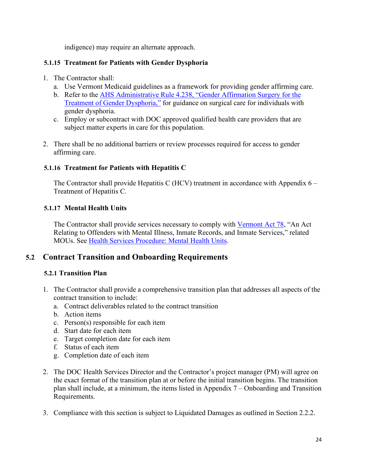indigence) may require an alternate approach.

# <span id="page-23-0"></span>**5.1.15 Treatment for Patients with Gender Dysphoria**

- 1. The Contractor shall:
	- a. Use Vermont Medicaid guidelines as a framework for providing gender affirming care.
	- b. Refer to the **AHS Administrative Rule 4.238, "Gender Affirmation Surgery for the** [Treatment of Gender Dysphoria,"](https://humanservices.vermont.gov/sites/ahsnew/files/documents/MedicaidPolicy/HCARAdopted/HCAR_4.238_Gender_Affirmation_Surgery_Adopted_Rule_New.pdf) for guidance on surgical care for individuals with gender dysphoria.
	- c. Employ or subcontract with DOC approved qualified health care providers that are subject matter experts in care for this population.
- 2. There shall be no additional barriers or review processes required for access to gender affirming care.

# <span id="page-23-1"></span>**5.1.16 Treatment for Patients with Hepatitis C**

The Contractor shall provide Hepatitis C (HCV) treatment in accordance with Appendix  $6 -$ Treatment of Hepatitis C.

# <span id="page-23-2"></span>**5.1.17 Mental Health Units**

The Contractor shall provide services necessary to comply with [Vermont Act 78,](https://legislature.vermont.gov/Documents/2018/WorkGroups/House%20Corrections%20and%20Institutions/Offender%20&%20Inmate%20Records/ACT78%7EHelena%20Gardner%7EAs%20Enacted%20%7E4-4-2018.pdf) "An Act Relating to Offenders with Mental Illness, Inmate Records, and Inmate Services," related MOUs. See [Health Services Procedure: Mental Health Units.](http://doc.vermont.gov/sites/correct/files/documents/Mental%20Health%20Unit%20HSD%20Procedure.pdf)

# <span id="page-23-3"></span>**5.2 Contract Transition and Onboarding Requirements**

# <span id="page-23-4"></span>**5.2.1 Transition Plan**

- 1. The Contractor shall provide a comprehensive transition plan that addresses all aspects of the contract transition to include:
	- a. Contract deliverables related to the contract transition
	- b. Action items
	- c. Person(s) responsible for each item
	- d. Start date for each item
	- e. Target completion date for each item
	- f. Status of each item
	- g. Completion date of each item
- 2. The DOC Health Services Director and the Contractor's project manager (PM) will agree on the exact format of the transition plan at or before the initial transition begins. The transition plan shall include, at a minimum, the items listed in Appendix 7 – Onboarding and Transition Requirements.
- 3. Compliance with this section is subject to Liquidated Damages as outlined in Section 2.2.2.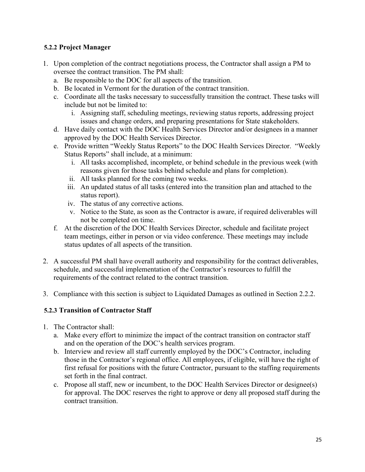# <span id="page-24-0"></span>**5.2.2 Project Manager**

- 1. Upon completion of the contract negotiations process, the Contractor shall assign a PM to oversee the contract transition. The PM shall:
	- a. Be responsible to the DOC for all aspects of the transition.
	- b. Be located in Vermont for the duration of the contract transition.
	- c. Coordinate all the tasks necessary to successfully transition the contract. These tasks will include but not be limited to:
		- i. Assigning staff, scheduling meetings, reviewing status reports, addressing project issues and change orders, and preparing presentations for State stakeholders.
	- d. Have daily contact with the DOC Health Services Director and/or designees in a manner approved by the DOC Health Services Director.
	- e. Provide written "Weekly Status Reports" to the DOC Health Services Director. "Weekly Status Reports" shall include, at a minimum:
		- i. All tasks accomplished, incomplete, or behind schedule in the previous week (with reasons given for those tasks behind schedule and plans for completion).
		- ii. All tasks planned for the coming two weeks.
		- iii. An updated status of all tasks (entered into the transition plan and attached to the status report).
		- iv. The status of any corrective actions.
		- v. Notice to the State, as soon as the Contractor is aware, if required deliverables will not be completed on time.
	- f. At the discretion of the DOC Health Services Director, schedule and facilitate project team meetings, either in person or via video conference. These meetings may include status updates of all aspects of the transition.
- 2. A successful PM shall have overall authority and responsibility for the contract deliverables, schedule, and successful implementation of the Contractor's resources to fulfill the requirements of the contract related to the contract transition.
- 3. Compliance with this section is subject to Liquidated Damages as outlined in Section 2.2.2.

# <span id="page-24-1"></span>**5.2.3 Transition of Contractor Staff**

- 1. The Contractor shall:
	- a. Make every effort to minimize the impact of the contract transition on contractor staff and on the operation of the DOC's health services program.
	- b. Interview and review all staff currently employed by the DOC's Contractor, including those in the Contractor's regional office. All employees, if eligible, will have the right of first refusal for positions with the future Contractor, pursuant to the staffing requirements set forth in the final contract.
	- c. Propose all staff, new or incumbent, to the DOC Health Services Director or designee(s) for approval. The DOC reserves the right to approve or deny all proposed staff during the contract transition.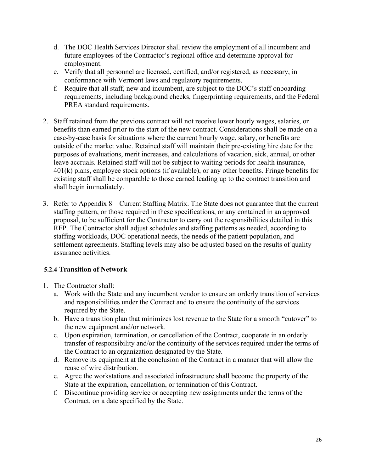- d. The DOC Health Services Director shall review the employment of all incumbent and future employees of the Contractor's regional office and determine approval for employment.
- e. Verify that all personnel are licensed, certified, and/or registered, as necessary, in conformance with Vermont laws and regulatory requirements.
- f. Require that all staff, new and incumbent, are subject to the DOC's staff onboarding requirements, including background checks, fingerprinting requirements, and the Federal PREA standard requirements.
- 2. Staff retained from the previous contract will not receive lower hourly wages, salaries, or benefits than earned prior to the start of the new contract. Considerations shall be made on a case-by-case basis for situations where the current hourly wage, salary, or benefits are outside of the market value. Retained staff will maintain their pre-existing hire date for the purposes of evaluations, merit increases, and calculations of vacation, sick, annual, or other leave accruals. Retained staff will not be subject to waiting periods for health insurance, 401(k) plans, employee stock options (if available), or any other benefits. Fringe benefits for existing staff shall be comparable to those earned leading up to the contract transition and shall begin immediately.
- 3. Refer to Appendix 8 Current Staffing Matrix. The State does not guarantee that the current staffing pattern, or those required in these specifications, or any contained in an approved proposal, to be sufficient for the Contractor to carry out the responsibilities detailed in this RFP. The Contractor shall adjust schedules and staffing patterns as needed, according to staffing workloads, DOC operational needs, the needs of the patient population, and settlement agreements. Staffing levels may also be adjusted based on the results of quality assurance activities.

# <span id="page-25-0"></span>**5.2.4 Transition of Network**

- 1. The Contractor shall:
	- a. Work with the State and any incumbent vendor to ensure an orderly transition of services and responsibilities under the Contract and to ensure the continuity of the services required by the State.
	- b. Have a transition plan that minimizes lost revenue to the State for a smooth "cutover" to the new equipment and/or network.
	- c. Upon expiration, termination, or cancellation of the Contract, cooperate in an orderly transfer of responsibility and/or the continuity of the services required under the terms of the Contract to an organization designated by the State.
	- d. Remove its equipment at the conclusion of the Contract in a manner that will allow the reuse of wire distribution.
	- e. Agree the workstations and associated infrastructure shall become the property of the State at the expiration, cancellation, or termination of this Contract.
	- f. Discontinue providing service or accepting new assignments under the terms of the Contract, on a date specified by the State.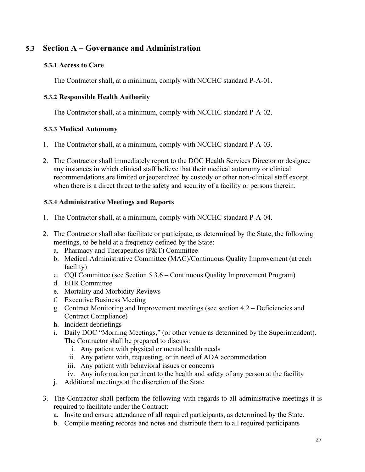# <span id="page-26-0"></span>**5.3 Section A – Governance and Administration**

# <span id="page-26-1"></span>**5.3.1 Access to Care**

The Contractor shall, at a minimum, comply with NCCHC standard P-A-01.

# <span id="page-26-2"></span>**5.3.2 Responsible Health Authority**

The Contractor shall, at a minimum, comply with NCCHC standard P-A-02.

# <span id="page-26-3"></span>**5.3.3 Medical Autonomy**

- 1. The Contractor shall, at a minimum, comply with NCCHC standard P-A-03.
- 2. The Contractor shall immediately report to the DOC Health Services Director or designee any instances in which clinical staff believe that their medical autonomy or clinical recommendations are limited or jeopardized by custody or other non-clinical staff except when there is a direct threat to the safety and security of a facility or persons therein.

# <span id="page-26-4"></span>**5.3.4 Administrative Meetings and Reports**

- 1. The Contractor shall, at a minimum, comply with NCCHC standard P-A-04.
- 2. The Contractor shall also facilitate or participate, as determined by the State, the following meetings, to be held at a frequency defined by the State:
	- a. Pharmacy and Therapeutics (P&T) Committee
	- b. Medical Administrative Committee (MAC)/Continuous Quality Improvement (at each facility)
	- c. CQI Committee (see Section 5.3.6 Continuous Quality Improvement Program)
	- d. EHR Committee
	- e. Mortality and Morbidity Reviews
	- f. Executive Business Meeting
	- g. Contract Monitoring and Improvement meetings (see section 4.2 Deficiencies and Contract Compliance)
	- h. Incident debriefings
	- i. Daily DOC "Morning Meetings," (or other venue as determined by the Superintendent). The Contractor shall be prepared to discuss:
		- i. Any patient with physical or mental health needs
		- ii. Any patient with, requesting, or in need of ADA accommodation
		- iii. Any patient with behavioral issues or concerns
		- iv. Any information pertinent to the health and safety of any person at the facility
	- j. Additional meetings at the discretion of the State
- 3. The Contractor shall perform the following with regards to all administrative meetings it is required to facilitate under the Contract:
	- a. Invite and ensure attendance of all required participants, as determined by the State.
	- b. Compile meeting records and notes and distribute them to all required participants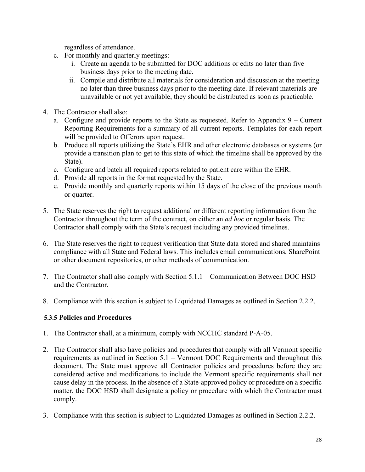regardless of attendance.

- c. For monthly and quarterly meetings:
	- i. Create an agenda to be submitted for DOC additions or edits no later than five business days prior to the meeting date.
	- ii. Compile and distribute all materials for consideration and discussion at the meeting no later than three business days prior to the meeting date. If relevant materials are unavailable or not yet available, they should be distributed as soon as practicable.
- 4. The Contractor shall also:
	- a. Configure and provide reports to the State as requested. Refer to Appendix 9 Current Reporting Requirements for a summary of all current reports. Templates for each report will be provided to Offerors upon request.
	- b. Produce all reports utilizing the State's EHR and other electronic databases or systems (or provide a transition plan to get to this state of which the timeline shall be approved by the State).
	- c. Configure and batch all required reports related to patient care within the EHR.
	- d. Provide all reports in the format requested by the State.
	- e. Provide monthly and quarterly reports within 15 days of the close of the previous month or quarter.
- 5. The State reserves the right to request additional or different reporting information from the Contractor throughout the term of the contract, on either an *ad hoc* or regular basis. The Contractor shall comply with the State's request including any provided timelines.
- 6. The State reserves the right to request verification that State data stored and shared maintains compliance with all State and Federal laws. This includes email communications, SharePoint or other document repositories, or other methods of communication.
- 7. The Contractor shall also comply with Section 5.1.1 Communication Between DOC HSD and the Contractor.
- 8. Compliance with this section is subject to Liquidated Damages as outlined in Section 2.2.2.

# <span id="page-27-0"></span>**5.3.5 Policies and Procedures**

- 1. The Contractor shall, at a minimum, comply with NCCHC standard P-A-05.
- 2. The Contractor shall also have policies and procedures that comply with all Vermont specific requirements as outlined in Section 5.1 – Vermont DOC Requirements and throughout this document. The State must approve all Contractor policies and procedures before they are considered active and modifications to include the Vermont specific requirements shall not cause delay in the process. In the absence of a State-approved policy or procedure on a specific matter, the DOC HSD shall designate a policy or procedure with which the Contractor must comply.
- 3. Compliance with this section is subject to Liquidated Damages as outlined in Section 2.2.2.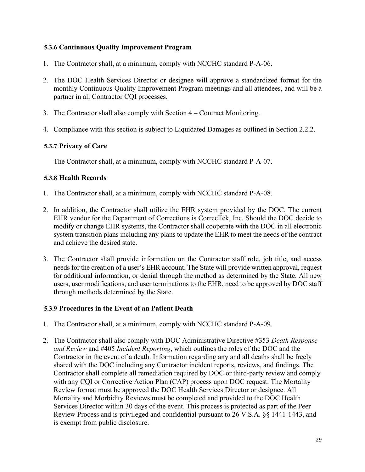# <span id="page-28-0"></span>**5.3.6 Continuous Quality Improvement Program**

- 1. The Contractor shall, at a minimum, comply with NCCHC standard P-A-06.
- 2. The DOC Health Services Director or designee will approve a standardized format for the monthly Continuous Quality Improvement Program meetings and all attendees, and will be a partner in all Contractor CQI processes.
- 3. The Contractor shall also comply with Section 4 Contract Monitoring.
- 4. Compliance with this section is subject to Liquidated Damages as outlined in Section 2.2.2.

# <span id="page-28-1"></span>**5.3.7 Privacy of Care**

The Contractor shall, at a minimum, comply with NCCHC standard P-A-07.

# <span id="page-28-2"></span>**5.3.8 Health Records**

- 1. The Contractor shall, at a minimum, comply with NCCHC standard P-A-08.
- 2. In addition, the Contractor shall utilize the EHR system provided by the DOC. The current EHR vendor for the Department of Corrections is CorrecTek, Inc. Should the DOC decide to modify or change EHR systems, the Contractor shall cooperate with the DOC in all electronic system transition plans including any plans to update the EHR to meet the needs of the contract and achieve the desired state.
- 3. The Contractor shall provide information on the Contractor staff role, job title, and access needs for the creation of a user's EHR account. The State will provide written approval, request for additional information, or denial through the method as determined by the State. All new users, user modifications, and user terminations to the EHR, need to be approved by DOC staff through methods determined by the State.

# <span id="page-28-3"></span>**5.3.9 Procedures in the Event of an Patient Death**

- 1. The Contractor shall, at a minimum, comply with NCCHC standard P-A-09.
- 2. The Contractor shall also comply with DOC Administrative Directive #353 *Death Response and Review* and #405 *Incident Reporting*, which outlines the roles of the DOC and the Contractor in the event of a death. Information regarding any and all deaths shall be freely shared with the DOC including any Contractor incident reports, reviews, and findings. The Contractor shall complete all remediation required by DOC or third-party review and comply with any CQI or Corrective Action Plan (CAP) process upon DOC request. The Mortality Review format must be approved the DOC Health Services Director or designee. All Mortality and Morbidity Reviews must be completed and provided to the DOC Health Services Director within 30 days of the event. This process is protected as part of the Peer Review Process and is privileged and confidential pursuant to 26 V.S.A. §§ 1441-1443, and is exempt from public disclosure.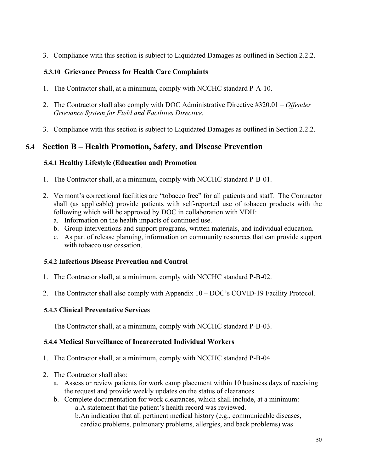3. Compliance with this section is subject to Liquidated Damages as outlined in Section 2.2.2.

# <span id="page-29-0"></span>**5.3.10 Grievance Process for Health Care Complaints**

- 1. The Contractor shall, at a minimum, comply with NCCHC standard P-A-10.
- 2. The Contractor shall also comply with DOC Administrative Directive #320.01 *Offender Grievance System for Field and Facilities Directive*.
- <span id="page-29-1"></span>3. Compliance with this section is subject to Liquidated Damages as outlined in Section 2.2.2.

# **5.4 Section B – Health Promotion, Safety, and Disease Prevention**

# <span id="page-29-2"></span>**5.4.1 Healthy Lifestyle (Education and) Promotion**

- 1. The Contractor shall, at a minimum, comply with NCCHC standard P-B-01.
- 2. Vermont's correctional facilities are "tobacco free" for all patients and staff. The Contractor shall (as applicable) provide patients with self-reported use of tobacco products with the following which will be approved by DOC in collaboration with VDH:
	- a. Information on the health impacts of continued use.
	- b. Group interventions and support programs, written materials, and individual education.
	- c. As part of release planning, information on community resources that can provide support with tobacco use cessation.

# <span id="page-29-3"></span>**5.4.2 Infectious Disease Prevention and Control**

- 1. The Contractor shall, at a minimum, comply with NCCHC standard P-B-02.
- 2. The Contractor shall also comply with Appendix 10 DOC's COVID-19 Facility Protocol.

# <span id="page-29-4"></span>**5.4.3 Clinical Preventative Services**

The Contractor shall, at a minimum, comply with NCCHC standard P-B-03.

# <span id="page-29-5"></span>**5.4.4 Medical Surveillance of Incarcerated Individual Workers**

- 1. The Contractor shall, at a minimum, comply with NCCHC standard P-B-04.
- 2. The Contractor shall also:
	- a. Assess or review patients for work camp placement within 10 business days of receiving the request and provide weekly updates on the status of clearances.
	- b. Complete documentation for work clearances, which shall include, at a minimum: a.A statement that the patient's health record was reviewed.
		- b.An indication that all pertinent medical history (e.g., communicable diseases, cardiac problems, pulmonary problems, allergies, and back problems) was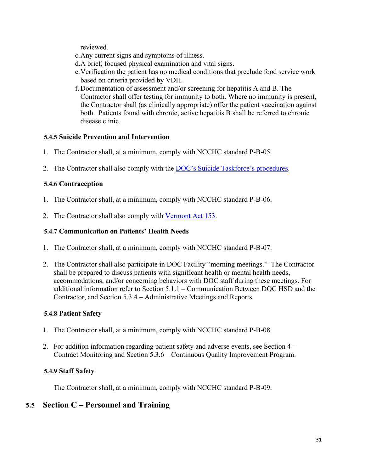reviewed.

- c.Any current signs and symptoms of illness.
- d.A brief, focused physical examination and vital signs.
- e.Verification the patient has no medical conditions that preclude food service work based on criteria provided by VDH.
- f. Documentation of assessment and/or screening for hepatitis A and B. The Contractor shall offer testing for immunity to both. Where no immunity is present, the Contractor shall (as clinically appropriate) offer the patient vaccination against both. Patients found with chronic, active hepatitis B shall be referred to chronic disease clinic.

# <span id="page-30-0"></span>**5.4.5 Suicide Prevention and Intervention**

- 1. The Contractor shall, at a minimum, comply with NCCHC standard P-B-05.
- 2. The Contractor shall also comply with the [DOC's Suicide Taskforce's procedures.](http://doc.vermont.gov/sites/correct/files/documents/VCHS%20Clinical%20Guidelines_Suicide%20Prevention_Current%20Practice%20and%20Recommendations.pdf)

# <span id="page-30-1"></span>**5.4.6 Contraception**

- 1. The Contractor shall, at a minimum, comply with NCCHC standard P-B-06.
- 2. The Contractor shall also comply with [Vermont Act 153.](https://legislature.vermont.gov/Documents/2018/Docs/ACTS/ACT153/ACT153%20As%20Enacted.pdf)

# <span id="page-30-2"></span>**5.4.7 Communication on Patients' Health Needs**

- 1. The Contractor shall, at a minimum, comply with NCCHC standard P-B-07.
- 2. The Contractor shall also participate in DOC Facility "morning meetings." The Contractor shall be prepared to discuss patients with significant health or mental health needs, accommodations, and/or concerning behaviors with DOC staff during these meetings. For additional information refer to Section 5.1.1 – Communication Between DOC HSD and the Contractor, and Section 5.3.4 – Administrative Meetings and Reports.

# <span id="page-30-3"></span>**5.4.8 Patient Safety**

- 1. The Contractor shall, at a minimum, comply with NCCHC standard P-B-08.
- 2. For addition information regarding patient safety and adverse events, see Section 4 Contract Monitoring and Section 5.3.6 – Continuous Quality Improvement Program.

# <span id="page-30-4"></span>**5.4.9 Staff Safety**

The Contractor shall, at a minimum, comply with NCCHC standard P-B-09.

# <span id="page-30-5"></span>**5.5 Section C – Personnel and Training**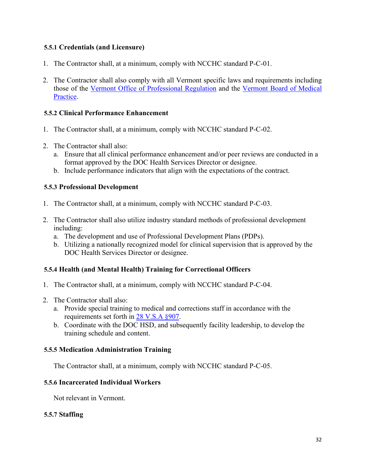# <span id="page-31-0"></span>**5.5.1 Credentials (and Licensure)**

- 1. The Contractor shall, at a minimum, comply with NCCHC standard P-C-01.
- 2. The Contractor shall also comply with all Vermont specific laws and requirements including those of the [Vermont Office of Professional Regulation](https://sos.vermont.gov/opr/regulatory/) and the [Vermont Board of Medical](https://www.healthvermont.gov/systems/medical-practice-board)  [Practice.](https://www.healthvermont.gov/systems/medical-practice-board)

# <span id="page-31-1"></span>**5.5.2 Clinical Performance Enhancement**

- 1. The Contractor shall, at a minimum, comply with NCCHC standard P-C-02.
- 2. The Contractor shall also:
	- a. Ensure that all clinical performance enhancement and/or peer reviews are conducted in a format approved by the DOC Health Services Director or designee.
	- b. Include performance indicators that align with the expectations of the contract.

# <span id="page-31-2"></span>**5.5.3 Professional Development**

- 1. The Contractor shall, at a minimum, comply with NCCHC standard P-C-03.
- 2. The Contractor shall also utilize industry standard methods of professional development including:
	- a. The development and use of Professional Development Plans (PDPs).
	- b. Utilizing a nationally recognized model for clinical supervision that is approved by the DOC Health Services Director or designee.

# <span id="page-31-3"></span>**5.5.4 Health (and Mental Health) Training for Correctional Officers**

- 1. The Contractor shall, at a minimum, comply with NCCHC standard P-C-04.
- 2. The Contractor shall also:
	- a. Provide special training to medical and corrections staff in accordance with the requirements set forth in [28 V.S.A §907.](https://legislature.vermont.gov/statutes/section/28/011/00907#:%7E:text=The%20Vermont%20Statutes%20Online%20Title%2028%20%3A%20Public,service%20for%20inmates%3B%20powers%20and%20responsibilities%20of%20Commissioner?msclkid=54c26090bcf111ecbd38236c51f302e4)
	- b. Coordinate with the DOC HSD, and subsequently facility leadership, to develop the training schedule and content.

# <span id="page-31-4"></span>**5.5.5 Medication Administration Training**

The Contractor shall, at a minimum, comply with NCCHC standard P-C-05.

#### <span id="page-31-5"></span>**5.5.6 Incarcerated Individual Workers**

Not relevant in Vermont.

#### <span id="page-31-6"></span>**5.5.7 Staffing**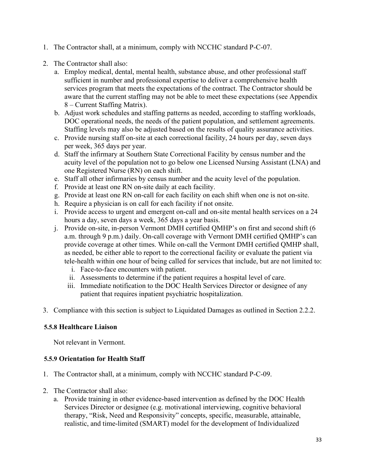- 1. The Contractor shall, at a minimum, comply with NCCHC standard P-C-07.
- 2. The Contractor shall also:
	- a. Employ medical, dental, mental health, substance abuse, and other professional staff sufficient in number and professional expertise to deliver a comprehensive health services program that meets the expectations of the contract. The Contractor should be aware that the current staffing may not be able to meet these expectations (see Appendix 8 – Current Staffing Matrix).
	- b. Adjust work schedules and staffing patterns as needed, according to staffing workloads, DOC operational needs, the needs of the patient population, and settlement agreements. Staffing levels may also be adjusted based on the results of quality assurance activities.
	- c. Provide nursing staff on-site at each correctional facility, 24 hours per day, seven days per week, 365 days per year.
	- d. Staff the infirmary at Southern State Correctional Facility by census number and the acuity level of the population not to go below one Licensed Nursing Assistant (LNA) and one Registered Nurse (RN) on each shift.
	- e. Staff all other infirmaries by census number and the acuity level of the population.
	- f. Provide at least one RN on-site daily at each facility.
	- g. Provide at least one RN on-call for each facility on each shift when one is not on-site.
	- h. Require a physician is on call for each facility if not onsite.
	- i. Provide access to urgent and emergent on-call and on-site mental health services on a 24 hours a day, seven days a week, 365 days a year basis.
	- j. Provide on-site, in-person Vermont DMH certified QMHP's on first and second shift (6 a.m. through 9 p.m.) daily. On-call coverage with Vermont DMH certified QMHP's can provide coverage at other times. While on-call the Vermont DMH certified QMHP shall, as needed, be either able to report to the correctional facility or evaluate the patient via tele-health within one hour of being called for services that include, but are not limited to:
		- i. Face-to-face encounters with patient.
		- ii. Assessments to determine if the patient requires a hospital level of care.
		- iii. Immediate notification to the DOC Health Services Director or designee of any patient that requires inpatient psychiatric hospitalization.
- 3. Compliance with this section is subject to Liquidated Damages as outlined in Section 2.2.2.

# <span id="page-32-0"></span>**5.5.8 Healthcare Liaison**

Not relevant in Vermont.

# <span id="page-32-1"></span>**5.5.9 Orientation for Health Staff**

- 1. The Contractor shall, at a minimum, comply with NCCHC standard P-C-09.
- 2. The Contractor shall also:
	- a. Provide training in other evidence-based intervention as defined by the DOC Health Services Director or designee (e.g. motivational interviewing, cognitive behavioral therapy, "Risk, Need and Responsivity" concepts, specific, measurable, attainable, realistic, and time-limited (SMART) model for the development of Individualized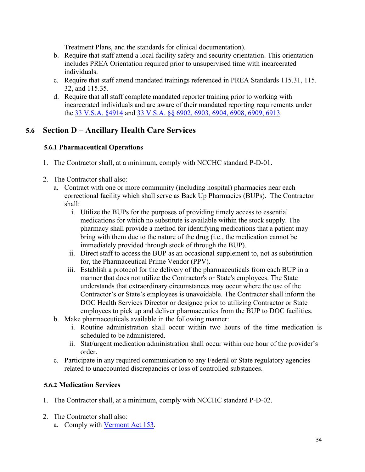Treatment Plans, and the standards for clinical documentation).

- b. Require that staff attend a local facility safety and security orientation. This orientation includes PREA Orientation required prior to unsupervised time with incarcerated individuals.
- c. Require that staff attend mandated trainings referenced in PREA Standards 115.31, 115. 32, and 115.35.
- d. Require that all staff complete mandated reporter training prior to working with incarcerated individuals and are aware of their mandated reporting requirements under the [33 V.S.A. §4914](https://legislature.vermont.gov/statutes/section/33/049/04914) and [33 V.S.A. §§ 6902, 6903, 6904, 6908, 6909, 6913.](https://legislature.vermont.gov/statutes/fullchapter/33/069)

# <span id="page-33-0"></span>**5.6 Section D – Ancillary Health Care Services**

# <span id="page-33-1"></span>**5.6.1 Pharmaceutical Operations**

- 1. The Contractor shall, at a minimum, comply with NCCHC standard P-D-01.
- 2. The Contractor shall also:
	- a. Contract with one or more community (including hospital) pharmacies near each correctional facility which shall serve as Back Up Pharmacies (BUPs). The Contractor shall:
		- i. Utilize the BUPs for the purposes of providing timely access to essential medications for which no substitute is available within the stock supply. The pharmacy shall provide a method for identifying medications that a patient may bring with them due to the nature of the drug (i.e., the medication cannot be immediately provided through stock of through the BUP).
		- ii. Direct staff to access the BUP as an occasional supplement to, not as substitution for, the Pharmaceutical Prime Vendor (PPV).
		- iii. Establish a protocol for the delivery of the pharmaceuticals from each BUP in a manner that does not utilize the Contractor's or State's employees. The State understands that extraordinary circumstances may occur where the use of the Contractor's or State's employees is unavoidable. The Contractor shall inform the DOC Health Services Director or designee prior to utilizing Contractor or State employees to pick up and deliver pharmaceutics from the BUP to DOC facilities.
	- b. Make pharmaceuticals available in the following manner:
		- i. Routine administration shall occur within two hours of the time medication is scheduled to be administered.
		- ii. Stat/urgent medication administration shall occur within one hour of the provider's order.
	- c. Participate in any required communication to any Federal or State regulatory agencies related to unaccounted discrepancies or loss of controlled substances.

# <span id="page-33-2"></span>**5.6.2 Medication Services**

- 1. The Contractor shall, at a minimum, comply with NCCHC standard P-D-02.
- 2. The Contractor shall also: a. Comply with [Vermont Act 153.](https://legislature.vermont.gov/Documents/2018/Docs/ACTS/ACT153/ACT153%20As%20Enacted.pdf)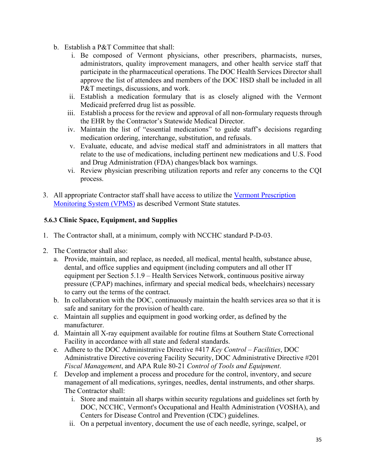- b. Establish a P&T Committee that shall:
	- i. Be composed of Vermont physicians, other prescribers, pharmacists, nurses, administrators, quality improvement managers, and other health service staff that participate in the pharmaceutical operations. The DOC Health Services Director shall approve the list of attendees and members of the DOC HSD shall be included in all P&T meetings, discussions, and work.
	- ii. Establish a medication formulary that is as closely aligned with the Vermont Medicaid preferred drug list as possible.
	- iii. Establish a process for the review and approval of all non-formulary requests through the EHR by the Contractor's Statewide Medical Director.
	- iv. Maintain the list of "essential medications" to guide staff's decisions regarding medication ordering, interchange, substitution, and refusals.
	- v. Evaluate, educate, and advise medical staff and administrators in all matters that relate to the use of medications, including pertinent new medications and U.S. Food and Drug Administration (FDA) changes/black box warnings.
	- vi. Review physician prescribing utilization reports and refer any concerns to the CQI process.
- 3. All appropriate Contractor staff shall have access to utilize the [Vermont Prescription](https://legislature.vermont.gov/statutes/fullchapter/18/084a)  [Monitoring System \(VPMS\)](https://legislature.vermont.gov/statutes/fullchapter/18/084a) as described Vermont State statutes.

# <span id="page-34-0"></span>**5.6.3 Clinic Space, Equipment, and Supplies**

- 1. The Contractor shall, at a minimum, comply with NCCHC standard P-D-03.
- 2. The Contractor shall also:
	- a. Provide, maintain, and replace, as needed, all medical, mental health, substance abuse, dental, and office supplies and equipment (including computers and all other IT equipment per Section 5.1.9 – Health Services Network, continuous positive airway pressure (CPAP) machines, infirmary and special medical beds, wheelchairs) necessary to carry out the terms of the contract.
	- b. In collaboration with the DOC, continuously maintain the health services area so that it is safe and sanitary for the provision of health care.
	- c. Maintain all supplies and equipment in good working order, as defined by the manufacturer.
	- d. Maintain all X-ray equipment available for routine films at Southern State Correctional Facility in accordance with all state and federal standards.
	- e. Adhere to the DOC Administrative Directive #417 *Key Control Facilities*, DOC Administrative Directive covering Facility Security, DOC Administrative Directive #201 *Fiscal Management*, and APA Rule 80-21 *Control of Tools and Equipment*.
	- f. Develop and implement a process and procedure for the control, inventory, and secure management of all medications, syringes, needles, dental instruments, and other sharps. The Contractor shall:
		- i. Store and maintain all sharps within security regulations and guidelines set forth by DOC, NCCHC, Vermont's Occupational and Health Administration (VOSHA), and Centers for Disease Control and Prevention (CDC) guidelines.
		- ii. On a perpetual inventory, document the use of each needle, syringe, scalpel, or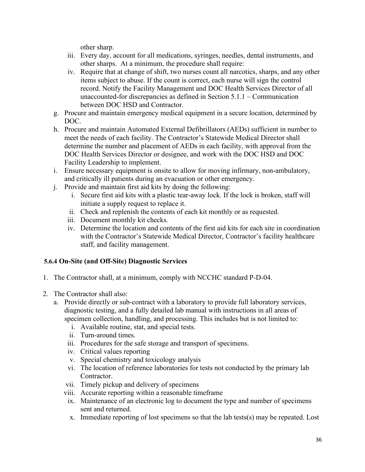other sharp.

- iii. Every day, account for all medications, syringes, needles, dental instruments, and other sharps. At a minimum, the procedure shall require:
- iv. Require that at change of shift, two nurses count all narcotics, sharps, and any other items subject to abuse. If the count is correct, each nurse will sign the control record. Notify the Facility Management and DOC Health Services Director of all unaccounted-for discrepancies as defined in Section 5.1.1 – Communication between DOC HSD and Contractor.
- g. Procure and maintain emergency medical equipment in a secure location, determined by DOC.
- h. Procure and maintain Automated External Defibrillators (AEDs) sufficient in number to meet the needs of each facility. The Contractor's Statewide Medical Director shall determine the number and placement of AEDs in each facility, with approval from the DOC Health Services Director or designee, and work with the DOC HSD and DOC Facility Leadership to implement.
- i. Ensure necessary equipment is onsite to allow for moving infirmary, non-ambulatory, and critically ill patients during an evacuation or other emergency.
- j. Provide and maintain first aid kits by doing the following:
	- i. Secure first aid kits with a plastic tear-away lock. If the lock is broken, staff will initiate a supply request to replace it.
	- ii. Check and replenish the contents of each kit monthly or as requested.
	- iii. Document monthly kit checks.
	- iv. Determine the location and contents of the first aid kits for each site in coordination with the Contractor's Statewide Medical Director, Contractor's facility healthcare staff, and facility management.

# <span id="page-35-0"></span>**5.6.4 On-Site (and Off-Site) Diagnostic Services**

- 1. The Contractor shall, at a minimum, comply with NCCHC standard P-D-04.
- 2. The Contractor shall also:
	- a. Provide directly or sub-contract with a laboratory to provide full laboratory services, diagnostic testing, and a fully detailed lab manual with instructions in all areas of specimen collection, handling, and processing. This includes but is not limited to:
		- i. Available routine, stat, and special tests.
		- ii. Turn-around times.
		- iii. Procedures for the safe storage and transport of specimens.
		- iv. Critical values reporting
		- v. Special chemistry and toxicology analysis
		- vi. The location of reference laboratories for tests not conducted by the primary lab Contractor.
		- vii. Timely pickup and delivery of specimens
		- viii. Accurate reporting within a reasonable timeframe
		- ix. Maintenance of an electronic log to document the type and number of specimens sent and returned.
		- x. Immediate reporting of lost specimens so that the lab tests(s) may be repeated. Lost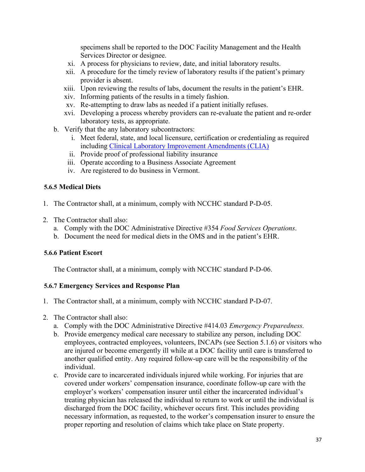specimens shall be reported to the DOC Facility Management and the Health Services Director or designee.

- xi. A process for physicians to review, date, and initial laboratory results.
- xii. A procedure for the timely review of laboratory results if the patient's primary provider is absent.
- xiii. Upon reviewing the results of labs, document the results in the patient's EHR.
- xiv. Informing patients of the results in a timely fashion.
- xv. Re-attempting to draw labs as needed if a patient initially refuses.
- xvi. Developing a process whereby providers can re-evaluate the patient and re-order laboratory tests, as appropriate.
- b. Verify that the any laboratory subcontractors:
	- i. Meet federal, state, and local licensure, certification or credentialing as required including [Clinical Laboratory Improvement Amendments \(CLIA\)](https://www.cms.gov/Regulations-and-Guidance/Legislation/CLIA)
	- ii. Provide proof of professional liability insurance
	- iii. Operate according to a Business Associate Agreement
	- iv. Are registered to do business in Vermont.

# <span id="page-36-0"></span>**5.6.5 Medical Diets**

- 1. The Contractor shall, at a minimum, comply with NCCHC standard P-D-05.
- 2. The Contractor shall also:
	- a. Comply with the DOC Administrative Directive #354 *Food Services Operations*.
	- b. Document the need for medical diets in the OMS and in the patient's EHR.

# <span id="page-36-1"></span>**5.6.6 Patient Escort**

The Contractor shall, at a minimum, comply with NCCHC standard P-D-06.

# <span id="page-36-2"></span>**5.6.7 Emergency Services and Response Plan**

- 1. The Contractor shall, at a minimum, comply with NCCHC standard P-D-07.
- 2. The Contractor shall also:
	- a. Comply with the DOC Administrative Directive #414.03 *Emergency Preparedness.*
	- b. Provide emergency medical care necessary to stabilize any person, including DOC employees, contracted employees, volunteers, INCAPs (see Section 5.1.6) or visitors who are injured or become emergently ill while at a DOC facility until care is transferred to another qualified entity. Any required follow-up care will be the responsibility of the individual.
	- c. Provide care to incarcerated individuals injured while working. For injuries that are covered under workers' compensation insurance, coordinate follow-up care with the employer's workers' compensation insurer until either the incarcerated individual's treating physician has released the individual to return to work or until the individual is discharged from the DOC facility, whichever occurs first. This includes providing necessary information, as requested, to the worker's compensation insurer to ensure the proper reporting and resolution of claims which take place on State property.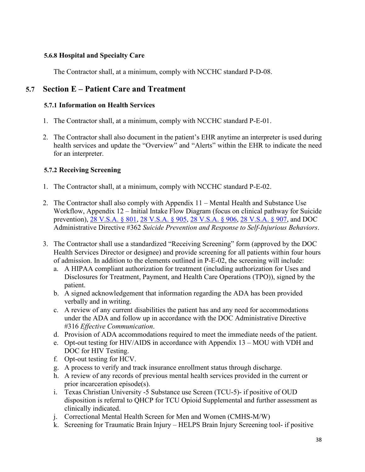# <span id="page-37-0"></span>**5.6.8 Hospital and Specialty Care**

The Contractor shall, at a minimum, comply with NCCHC standard P-D-08.

# <span id="page-37-1"></span>**5.7 Section E – Patient Care and Treatment**

#### <span id="page-37-2"></span>**5.7.1 Information on Health Services**

- 1. The Contractor shall, at a minimum, comply with NCCHC standard P-E-01.
- 2. The Contractor shall also document in the patient's EHR anytime an interpreter is used during health services and update the "Overview" and "Alerts" within the EHR to indicate the need for an interpreter.

# <span id="page-37-3"></span>**5.7.2 Receiving Screening**

- 1. The Contractor shall, at a minimum, comply with NCCHC standard P-E-02.
- 2. The Contractor shall also comply with Appendix 11 Mental Health and Substance Use Workflow, Appendix 12 – Initial Intake Flow Diagram (focus on clinical pathway for Suicide prevention), [28 V.S.A. § 801,](https://legislature.vermont.gov/statutes/section/28/011/00801) [28 V.S.A. § 905,](https://legislature.vermont.gov/statutes/section/28/011/00905) [28 V.S.A. § 906,](https://legislature.vermont.gov/statutes/section/28/011/00906) [28 V.S.A. § 907,](https://legislature.vermont.gov/statutes/section/28/011/00907) and DOC Administrative Directive #362 *Suicide Prevention and Response to Self-Injurious Behaviors*.
- 3. The Contractor shall use a standardized "Receiving Screening" form (approved by the DOC Health Services Director or designee) and provide screening for all patients within four hours of admission. In addition to the elements outlined in P-E-02, the screening will include:
	- a. A HIPAA compliant authorization for treatment (including authorization for Uses and Disclosures for Treatment, Payment, and Health Care Operations (TPO)), signed by the patient.
	- b. A signed acknowledgement that information regarding the ADA has been provided verbally and in writing.
	- c. A review of any current disabilities the patient has and any need for accommodations under the ADA and follow up in accordance with the DOC Administrative Directive #316 *Effective Communication*.
	- d. Provision of ADA accommodations required to meet the immediate needs of the patient.
	- e. Opt-out testing for HIV/AIDS in accordance with Appendix 13 MOU with VDH and DOC for HIV Testing.
	- f. Opt-out testing for HCV.
	- g. A process to verify and track insurance enrollment status through discharge.
	- h. A review of any records of previous mental health services provided in the current or prior incarceration episode(s).
	- i. Texas Christian University -5 Substance use Screen (TCU-5)- if positive of OUD disposition is referral to QHCP for TCU Opioid Supplemental and further assessment as clinically indicated.
	- j. Correctional Mental Health Screen for Men and Women (CMHS-M/W)
	- k. Screening for Traumatic Brain Injury HELPS Brain Injury Screening tool- if positive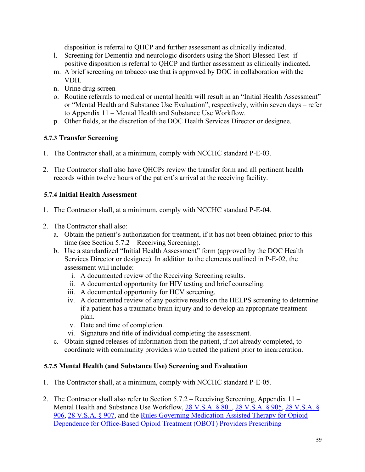disposition is referral to QHCP and further assessment as clinically indicated.

- l. Screening for Dementia and neurologic disorders using the Short-Blessed Test- if positive disposition is referral to QHCP and further assessment as clinically indicated.
- m. A brief screening on tobacco use that is approved by DOC in collaboration with the VDH.
- n. Urine drug screen
- o. Routine referrals to medical or mental health will result in an "Initial Health Assessment" or "Mental Health and Substance Use Evaluation", respectively, within seven days – refer to Appendix 11 – Mental Health and Substance Use Workflow.
- p. Other fields, at the discretion of the DOC Health Services Director or designee.

# <span id="page-38-0"></span>**5.7.3 Transfer Screening**

- 1. The Contractor shall, at a minimum, comply with NCCHC standard P-E-03.
- 2. The Contractor shall also have QHCPs review the transfer form and all pertinent health records within twelve hours of the patient's arrival at the receiving facility.

# <span id="page-38-1"></span>**5.7.4 Initial Health Assessment**

- 1. The Contractor shall, at a minimum, comply with NCCHC standard P-E-04.
- 2. The Contractor shall also:
	- a. Obtain the patient's authorization for treatment, if it has not been obtained prior to this time (see Section 5.7.2 – Receiving Screening).
	- b. Use a standardized "Initial Health Assessment" form (approved by the DOC Health Services Director or designee). In addition to the elements outlined in P-E-02, the assessment will include:
		- i. A documented review of the Receiving Screening results.
		- ii. A documented opportunity for HIV testing and brief counseling.
		- iii. A documented opportunity for HCV screening.
		- iv. A documented review of any positive results on the HELPS screening to determine if a patient has a traumatic brain injury and to develop an appropriate treatment plan.
		- v. Date and time of completion.
		- vi. Signature and title of individual completing the assessment.
	- c. Obtain signed releases of information from the patient, if not already completed, to coordinate with community providers who treated the patient prior to incarceration.

# <span id="page-38-2"></span>**5.7.5 Mental Health (and Substance Use) Screening and Evaluation**

- 1. The Contractor shall, at a minimum, comply with NCCHC standard P-E-05.
- 2. The Contractor shall also refer to Section 5.7.2 Receiving Screening, Appendix 11 Mental Health and Substance Use Workflow, [28 V.S.A. § 801,](https://legislature.vermont.gov/statutes/section/28/011/00801) [28 V.S.A. § 905,](https://legislature.vermont.gov/statutes/section/28/011/00905) [28 V.S.A. §](https://legislature.vermont.gov/statutes/section/28/011/00906)  [906,](https://legislature.vermont.gov/statutes/section/28/011/00906) [28 V.S.A. § 907,](https://legislature.vermont.gov/statutes/section/28/011/00907) and the [Rules Governing Medication-Assisted Therapy for Opioid](https://www.healthvermont.gov/sites/default/files/documents/pdf/REG_opioids-medication-assisted-therapy-for-dependence.pdf)  [Dependence for Office-Based Opioid Treatment \(OBOT\) Providers Prescribing](https://www.healthvermont.gov/sites/default/files/documents/pdf/REG_opioids-medication-assisted-therapy-for-dependence.pdf)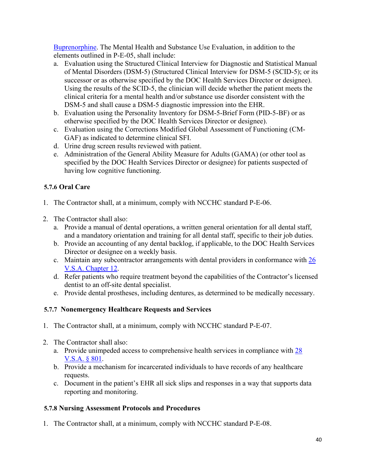[Buprenorphine.](https://www.healthvermont.gov/sites/default/files/documents/pdf/REG_opioids-medication-assisted-therapy-for-dependence.pdf) The Mental Health and Substance Use Evaluation, in addition to the elements outlined in P-E-05, shall include:

- a. Evaluation using the Structured Clinical Interview for Diagnostic and Statistical Manual of Mental Disorders (DSM-5) (Structured Clinical Interview for DSM-5 (SCID-5); or its successor or as otherwise specified by the DOC Health Services Director or designee). Using the results of the SCID-5, the clinician will decide whether the patient meets the clinical criteria for a mental health and/or substance use disorder consistent with the DSM-5 and shall cause a DSM-5 diagnostic impression into the EHR.
- b. Evaluation using the Personality Inventory for DSM-5-Brief Form (PID-5-BF) or as otherwise specified by the DOC Health Services Director or designee).
- c. Evaluation using the Corrections Modified Global Assessment of Functioning (CM-GAF) as indicated to determine clinical SFI.
- d. Urine drug screen results reviewed with patient.
- e. Administration of the General Ability Measure for Adults (GAMA) (or other tool as specified by the DOC Health Services Director or designee) for patients suspected of having low cognitive functioning.

# <span id="page-39-0"></span>**5.7.6 Oral Care**

- 1. The Contractor shall, at a minimum, comply with NCCHC standard P-E-06.
- 2. The Contractor shall also:
	- a. Provide a manual of dental operations, a written general orientation for all dental staff, and a mandatory orientation and training for all dental staff, specific to their job duties.
	- b. Provide an accounting of any dental backlog, if applicable, to the DOC Health Services Director or designee on a weekly basis.
	- c. Maintain any subcontractor arrangements with dental providers in conformance with  $26$ [V.S.A. Chapter 12.](https://legislature.vermont.gov/statutes/chapter/26/012)
	- d. Refer patients who require treatment beyond the capabilities of the Contractor's licensed dentist to an off-site dental specialist.
	- e. Provide dental prostheses, including dentures, as determined to be medically necessary.

# <span id="page-39-1"></span>**5.7.7 Nonemergency Healthcare Requests and Services**

- 1. The Contractor shall, at a minimum, comply with NCCHC standard P-E-07.
- 2. The Contractor shall also:
	- a. Provide unimpeded access to comprehensive health services in compliance with [28](https://legislature.vermont.gov/statutes/section/28/011/00801)  [V.S.A. § 801.](https://legislature.vermont.gov/statutes/section/28/011/00801)
	- b. Provide a mechanism for incarcerated individuals to have records of any healthcare requests.
	- c. Document in the patient's EHR all sick slips and responses in a way that supports data reporting and monitoring.

# <span id="page-39-2"></span>**5.7.8 Nursing Assessment Protocols and Procedures**

1. The Contractor shall, at a minimum, comply with NCCHC standard P-E-08.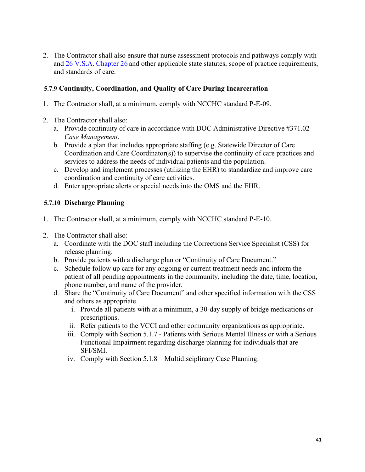2. The Contractor shall also ensure that nurse assessment protocols and pathways comply with and [26 V.S.A. Chapter 26](https://legislature.vermont.gov/statutes/chapter/26/028) and other applicable state statutes, scope of practice requirements, and standards of care.

# <span id="page-40-0"></span>**5.7.9 Continuity, Coordination, and Quality of Care During Incarceration**

- 1. The Contractor shall, at a minimum, comply with NCCHC standard P-E-09.
- 2. The Contractor shall also:
	- a. Provide continuity of care in accordance with DOC Administrative Directive #371.02 *Case Management*.
	- b. Provide a plan that includes appropriate staffing (e.g. Statewide Director of Care Coordination and Care Coordinator(s)) to supervise the continuity of care practices and services to address the needs of individual patients and the population.
	- c. Develop and implement processes (utilizing the EHR) to standardize and improve care coordination and continuity of care activities.
	- d. Enter appropriate alerts or special needs into the OMS and the EHR.

# <span id="page-40-1"></span>**5.7.10 Discharge Planning**

- 1. The Contractor shall, at a minimum, comply with NCCHC standard P-E-10.
- 2. The Contractor shall also:
	- a. Coordinate with the DOC staff including the Corrections Service Specialist (CSS) for release planning.
	- b. Provide patients with a discharge plan or "Continuity of Care Document."
	- c. Schedule follow up care for any ongoing or current treatment needs and inform the patient of all pending appointments in the community, including the date, time, location, phone number, and name of the provider.
	- d. Share the "Continuity of Care Document" and other specified information with the CSS and others as appropriate.
		- i. Provide all patients with at a minimum, a 30-day supply of bridge medications or prescriptions.
		- ii. Refer patients to the VCCI and other community organizations as appropriate.
		- iii. Comply with Section 5.1.7 Patients with Serious Mental Illness or with a Serious Functional Impairment regarding discharge planning for individuals that are SFI/SMI.
		- iv. Comply with Section 5.1.8 Multidisciplinary Case Planning.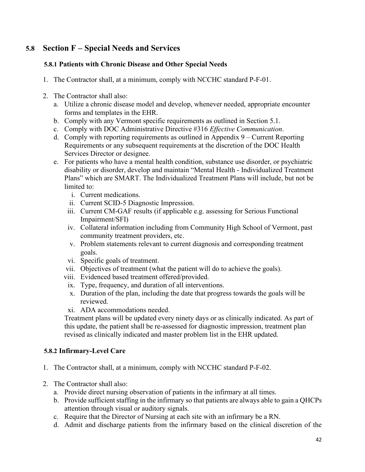# <span id="page-41-0"></span>**5.8 Section F – Special Needs and Services**

# <span id="page-41-1"></span>**5.8.1 Patients with Chronic Disease and Other Special Needs**

- 1. The Contractor shall, at a minimum, comply with NCCHC standard P-F-01.
- 2. The Contractor shall also:
	- a. Utilize a chronic disease model and develop, whenever needed, appropriate encounter forms and templates in the EHR.
	- b. Comply with any Vermont specific requirements as outlined in Section 5.1.
	- c. Comply with DOC Administrative Directive #316 *Effective Communication*.
	- d. Comply with reporting requirements as outlined in Appendix 9 Current Reporting Requirements or any subsequent requirements at the discretion of the DOC Health Services Director or designee.
	- e. For patients who have a mental health condition, substance use disorder, or psychiatric disability or disorder, develop and maintain "Mental Health - Individualized Treatment Plans" which are SMART. The Individualized Treatment Plans will include, but not be limited to:
		- i. Current medications.
		- ii. Current SCID-5 Diagnostic Impression.
		- iii. Current CM-GAF results (if applicable e.g. assessing for Serious Functional Impairment/SFI)
		- iv. Collateral information including from Community High School of Vermont, past community treatment providers, etc.
		- v. Problem statements relevant to current diagnosis and corresponding treatment goals.
		- vi. Specific goals of treatment.
		- vii. Objectives of treatment (what the patient will do to achieve the goals).
		- viii. Evidenced based treatment offered/provided.
		- ix. Type, frequency, and duration of all interventions.
		- x. Duration of the plan, including the date that progress towards the goals will be reviewed.
		- xi. ADA accommodations needed.

Treatment plans will be updated every ninety days or as clinically indicated. As part of this update, the patient shall be re-assessed for diagnostic impression, treatment plan revised as clinically indicated and master problem list in the EHR updated.

# <span id="page-41-2"></span>**5.8.2 Infirmary-Level Care**

- 1. The Contractor shall, at a minimum, comply with NCCHC standard P-F-02.
- 2. The Contractor shall also:
	- a. Provide direct nursing observation of patients in the infirmary at all times.
	- b. Provide sufficient staffing in the infirmary so that patients are always able to gain a QHCPs attention through visual or auditory signals.
	- c. Require that the Director of Nursing at each site with an infirmary be a RN.
	- d. Admit and discharge patients from the infirmary based on the clinical discretion of the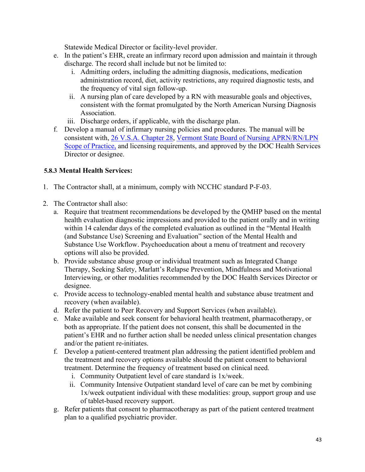Statewide Medical Director or facility-level provider.

- e. In the patient's EHR, create an infirmary record upon admission and maintain it through discharge. The record shall include but not be limited to:
	- i. Admitting orders, including the admitting diagnosis, medications, medication administration record, diet, activity restrictions, any required diagnostic tests, and the frequency of vital sign follow-up.
	- ii. A nursing plan of care developed by a RN with measurable goals and objectives, consistent with the format promulgated by the North American Nursing Diagnosis Association.
	- iii. Discharge orders, if applicable, with the discharge plan.
- f. Develop a manual of infirmary nursing policies and procedures. The manual will be consistent with, [26 V.S.A. Chapter 28,](https://legislature.vermont.gov/statutes/chapter/26/028) [Vermont State Board of Nursing APRN/RN/LPN](https://sos.vermont.gov/media/30vlwsrg/aprn-rn-lpn-scope-of-practice-2018-0709.pdf#:%7E:text=The%20legal%20basis%20for%20the%20scope%20of%20nursing,of%20practice%20of%20an%20APRN%2C%20RN%20or%20LPN)  [Scope of Practice,](https://sos.vermont.gov/media/30vlwsrg/aprn-rn-lpn-scope-of-practice-2018-0709.pdf#:%7E:text=The%20legal%20basis%20for%20the%20scope%20of%20nursing,of%20practice%20of%20an%20APRN%2C%20RN%20or%20LPN) and licensing requirements, and approved by the DOC Health Services Director or designee.

# <span id="page-42-0"></span>**5.8.3 Mental Health Services:**

- 1. The Contractor shall, at a minimum, comply with NCCHC standard P-F-03.
- 2. The Contractor shall also:
	- a. Require that treatment recommendations be developed by the QMHP based on the mental health evaluation diagnostic impressions and provided to the patient orally and in writing within 14 calendar days of the completed evaluation as outlined in the "Mental Health (and Substance Use) Screening and Evaluation" section of the Mental Health and Substance Use Workflow. Psychoeducation about a menu of treatment and recovery options will also be provided.
	- b. Provide substance abuse group or individual treatment such as Integrated Change Therapy, Seeking Safety, Marlatt's Relapse Prevention, Mindfulness and Motivational Interviewing, or other modalities recommended by the DOC Health Services Director or designee.
	- c. Provide access to technology-enabled mental health and substance abuse treatment and recovery (when available).
	- d. Refer the patient to Peer Recovery and Support Services (when available).
	- e. Make available and seek consent for behavioral health treatment, pharmacotherapy, or both as appropriate. If the patient does not consent, this shall be documented in the patient's EHR and no further action shall be needed unless clinical presentation changes and/or the patient re-initiates.
	- f. Develop a patient-centered treatment plan addressing the patient identified problem and the treatment and recovery options available should the patient consent to behavioral treatment. Determine the frequency of treatment based on clinical need.
		- i. Community Outpatient level of care standard is 1x/week.
		- ii. Community Intensive Outpatient standard level of care can be met by combining 1x/week outpatient individual with these modalities: group, support group and use of tablet-based recovery support.
	- g. Refer patients that consent to pharmacotherapy as part of the patient centered treatment plan to a qualified psychiatric provider.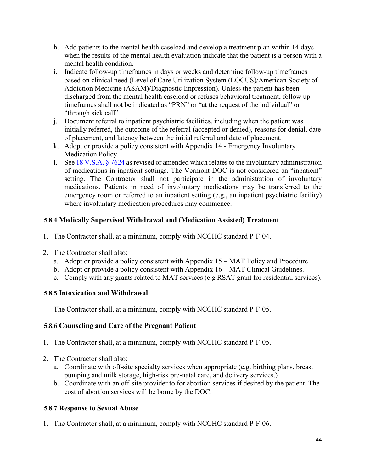- h. Add patients to the mental health caseload and develop a treatment plan within 14 days when the results of the mental health evaluation indicate that the patient is a person with a mental health condition.
- i. Indicate follow-up timeframes in days or weeks and determine follow-up timeframes based on clinical need (Level of Care Utilization System (LOCUS)/American Society of Addiction Medicine (ASAM)/Diagnostic Impression). Unless the patient has been discharged from the mental health caseload or refuses behavioral treatment, follow up timeframes shall not be indicated as "PRN" or "at the request of the individual" or "through sick call".
- j. Document referral to inpatient psychiatric facilities, including when the patient was initially referred, the outcome of the referral (accepted or denied), reasons for denial, date of placement, and latency between the initial referral and date of placement.
- k. Adopt or provide a policy consistent with Appendix 14 Emergency Involuntary Medication Policy.
- l. See [18 V.S.A. § 7624](https://legislature.vermont.gov/statutes/section/18/181/07624) as revised or amended which relates to the involuntary administration of medications in inpatient settings. The Vermont DOC is not considered an "inpatient" setting. The Contractor shall not participate in the administration of involuntary medications. Patients in need of involuntary medications may be transferred to the emergency room or referred to an inpatient setting (e.g., an inpatient psychiatric facility) where involuntary medication procedures may commence.

# <span id="page-43-0"></span>**5.8.4 Medically Supervised Withdrawal and (Medication Assisted) Treatment**

- 1. The Contractor shall, at a minimum, comply with NCCHC standard P-F-04.
- 2. The Contractor shall also:
	- a. Adopt or provide a policy consistent with Appendix 15 MAT Policy and Procedure
	- b. Adopt or provide a policy consistent with Appendix 16 MAT Clinical Guidelines.
	- c. Comply with any grants related to MAT services (e.g RSAT grant for residential services).

# <span id="page-43-1"></span>**5.8.5 Intoxication and Withdrawal**

The Contractor shall, at a minimum, comply with NCCHC standard P-F-05.

# <span id="page-43-2"></span>**5.8.6 Counseling and Care of the Pregnant Patient**

- 1. The Contractor shall, at a minimum, comply with NCCHC standard P-F-05.
- 2. The Contractor shall also:
	- a. Coordinate with off-site specialty services when appropriate (e.g. birthing plans, breast pumping and milk storage, high-risk pre-natal care, and delivery services.)
	- b. Coordinate with an off-site provider to for abortion services if desired by the patient. The cost of abortion services will be borne by the DOC.

# <span id="page-43-3"></span>**5.8.7 Response to Sexual Abuse**

1. The Contractor shall, at a minimum, comply with NCCHC standard P-F-06.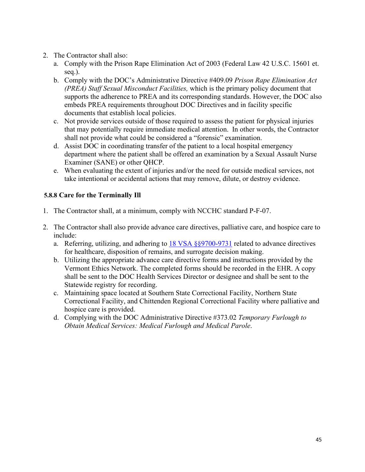- 2. The Contractor shall also:
	- a. Comply with the Prison Rape Elimination Act of 2003 (Federal Law 42 U.S.C. 15601 et. seq.).
	- b. Comply with the DOC's Administrative Directive #409.09 *Prison Rape Elimination Act (PREA) Staff Sexual Misconduct Facilities,* which is the primary policy document that supports the adherence to PREA and its corresponding standards. However, the DOC also embeds PREA requirements throughout DOC Directives and in facility specific documents that establish local policies.
	- c. Not provide services outside of those required to assess the patient for physical injuries that may potentially require immediate medical attention. In other words, the Contractor shall not provide what could be considered a "forensic" examination.
	- d. Assist DOC in coordinating transfer of the patient to a local hospital emergency department where the patient shall be offered an examination by a Sexual Assault Nurse Examiner (SANE) or other QHCP.
	- e. When evaluating the extent of injuries and/or the need for outside medical services, not take intentional or accidental actions that may remove, dilute, or destroy evidence.

# <span id="page-44-0"></span>**5.8.8 Care for the Terminally Ill**

- 1. The Contractor shall, at a minimum, comply with NCCHC standard P-F-07.
- 2. The Contractor shall also provide advance care directives, palliative care, and hospice care to include:
	- a. Referring, utilizing, and adhering to [18 VSA §§9700-9731](https://legislature.vermont.gov/statutes/chapter/18/231) related to advance directives for healthcare, disposition of remains, and surrogate decision making.
	- b. Utilizing the appropriate advance care directive forms and instructions provided by the Vermont Ethics Network. The completed forms should be recorded in the EHR. A copy shall be sent to the DOC Health Services Director or designee and shall be sent to the Statewide registry for recording.
	- c. Maintaining space located at Southern State Correctional Facility, Northern State Correctional Facility, and Chittenden Regional Correctional Facility where palliative and hospice care is provided.
	- d. Complying with the DOC Administrative Directive #373.02 *Temporary Furlough to Obtain Medical Services: Medical Furlough and Medical Parole*.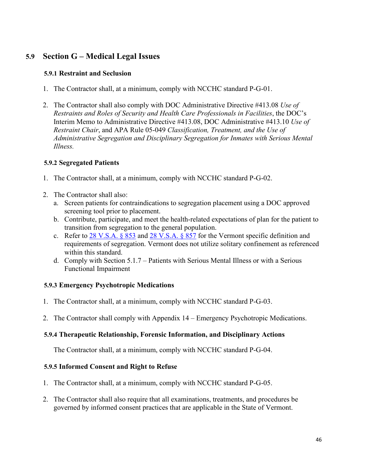# <span id="page-45-0"></span>**5.9 Section G – Medical Legal Issues**

# <span id="page-45-1"></span>**5.9.1 Restraint and Seclusion**

- 1. The Contractor shall, at a minimum, comply with NCCHC standard P-G-01.
- 2. The Contractor shall also comply with DOC Administrative Directive #413.08 *Use of Restraints and Roles of Security and Health Care Professionals in Facilities*, the DOC's Interim Memo to Administrative Directive #413.08, DOC Administrative #413.10 *Use of Restraint Chair*, and APA Rule 05-049 *Classification, Treatment, and the Use of Administrative Segregation and Disciplinary Segregation for Inmates with Serious Mental Illness.*

# <span id="page-45-2"></span>**5.9.2 Segregated Patients**

- 1. The Contractor shall, at a minimum, comply with NCCHC standard P-G-02.
- 2. The Contractor shall also:
	- a. Screen patients for contraindications to segregation placement using a DOC approved screening tool prior to placement.
	- b. Contribute, participate, and meet the health-related expectations of plan for the patient to transition from segregation to the general population.
	- c. Refer to  $\frac{28 \text{ V.S.A. } }{853}$  and  $\frac{28 \text{ V.S.A. } }{857}$  for the Vermont specific definition and requirements of segregation. Vermont does not utilize solitary confinement as referenced within this standard.
	- d. Comply with Section 5.1.7 Patients with Serious Mental Illness or with a Serious Functional Impairment

# <span id="page-45-3"></span>**5.9.3 Emergency Psychotropic Medications**

- 1. The Contractor shall, at a minimum, comply with NCCHC standard P-G-03.
- 2. The Contractor shall comply with Appendix 14 Emergency Psychotropic Medications.

# <span id="page-45-4"></span>**5.9.4 Therapeutic Relationship, Forensic Information, and Disciplinary Actions**

The Contractor shall, at a minimum, comply with NCCHC standard P-G-04.

# <span id="page-45-5"></span>**5.9.5 Informed Consent and Right to Refuse**

- 1. The Contractor shall, at a minimum, comply with NCCHC standard P-G-05.
- 2. The Contractor shall also require that all examinations, treatments, and procedures be governed by informed consent practices that are applicable in the State of Vermont.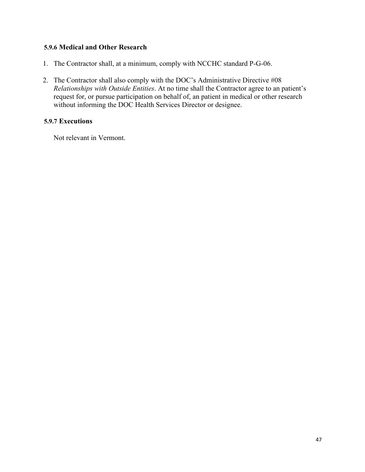#### <span id="page-46-0"></span>**5.9.6 Medical and Other Research**

- 1. The Contractor shall, at a minimum, comply with NCCHC standard P-G-06.
- 2. The Contractor shall also comply with the DOC's Administrative Directive #08 *Relationships with Outside Entities*. At no time shall the Contractor agree to an patient's request for, or pursue participation on behalf of, an patient in medical or other research without informing the DOC Health Services Director or designee.

#### <span id="page-46-1"></span>**5.9.7 Executions**

Not relevant in Vermont.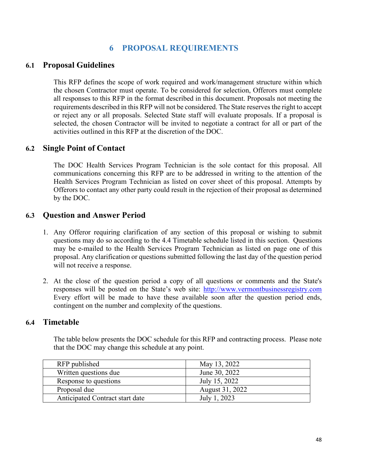# **6 PROPOSAL REQUIREMENTS**

# <span id="page-47-1"></span><span id="page-47-0"></span>**6.1 Proposal Guidelines**

This RFP defines the scope of work required and work/management structure within which the chosen Contractor must operate. To be considered for selection, Offerors must complete all responses to this RFP in the format described in this document. Proposals not meeting the requirements described in this RFP will not be considered. The State reserves the right to accept or reject any or all proposals. Selected State staff will evaluate proposals. If a proposal is selected, the chosen Contractor will be invited to negotiate a contract for all or part of the activities outlined in this RFP at the discretion of the DOC.

# <span id="page-47-2"></span>**6.2 Single Point of Contact**

The DOC Health Services Program Technician is the sole contact for this proposal. All communications concerning this RFP are to be addressed in writing to the attention of the Health Services Program Technician as listed on cover sheet of this proposal. Attempts by Offerors to contact any other party could result in the rejection of their proposal as determined by the DOC.

# <span id="page-47-3"></span>**6.3 Question and Answer Period**

- 1. Any Offeror requiring clarification of any section of this proposal or wishing to submit questions may do so according to the 4.4 Timetable schedule listed in this section. Questions may be e-mailed to the Health Services Program Technician as listed on page one of this proposal. Any clarification or questions submitted following the last day of the question period will not receive a response.
- 2. At the close of the question period a copy of all questions or comments and the State's responses will be posted on the State's web site: [http://www.vermontbusinessregistry.com](http://www.vermontbusinessregistry.com/) Every effort will be made to have these available soon after the question period ends, contingent on the number and complexity of the questions.

# <span id="page-47-4"></span>**6.4 Timetable**

The table below presents the DOC schedule for this RFP and contracting process. Please note that the DOC may change this schedule at any point.

| RFP published                   | May 13, 2022    |
|---------------------------------|-----------------|
| Written questions due           | June 30, 2022   |
| Response to questions           | July 15, 2022   |
| Proposal due                    | August 31, 2022 |
| Anticipated Contract start date | July 1, 2023    |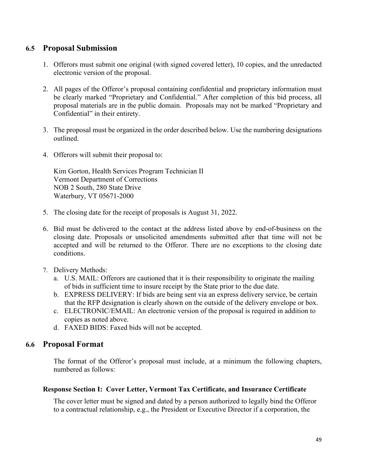# <span id="page-48-0"></span>**6.5 Proposal Submission**

- 1. Offerors must submit one original (with signed covered letter), 10 copies, and the unredacted electronic version of the proposal.
- 2. All pages of the Offeror's proposal containing confidential and proprietary information must be clearly marked "Proprietary and Confidential." After completion of this bid process, all proposal materials are in the public domain. Proposals may not be marked "Proprietary and Confidential" in their entirety.
- 3. The proposal must be organized in the order described below. Use the numbering designations outlined.
- 4. Offerors will submit their proposal to:

Kim Gorton, Health Services Program Technician II Vermont Department of Corrections NOB 2 South, 280 State Drive Waterbury, VT 05671-2000

- 5. The closing date for the receipt of proposals is August 31, 2022.
- 6. Bid must be delivered to the contact at the address listed above by end-of-business on the closing date. Proposals or unsolicited amendments submitted after that time will not be accepted and will be returned to the Offeror. There are no exceptions to the closing date conditions.
- 7. Delivery Methods:
	- a. U.S. MAIL: Offerors are cautioned that it is their responsibility to originate the mailing of bids in sufficient time to insure receipt by the State prior to the due date.
	- b. EXPRESS DELIVERY: If bids are being sent via an express delivery service, be certain that the RFP designation is clearly shown on the outside of the delivery envelope or box.
	- c. ELECTRONIC/EMAIL: An electronic version of the proposal is required in addition to copies as noted above.
	- d. FAXED BIDS: Faxed bids will not be accepted.

# <span id="page-48-1"></span>**6.6 Proposal Format**

The format of the Offeror's proposal must include, at a minimum the following chapters, numbered as follows:

#### **Response Section I: Cover Letter, Vermont Tax Certificate, and Insurance Certificate**

The cover letter must be signed and dated by a person authorized to legally bind the Offeror to a contractual relationship, e.g., the President or Executive Director if a corporation, the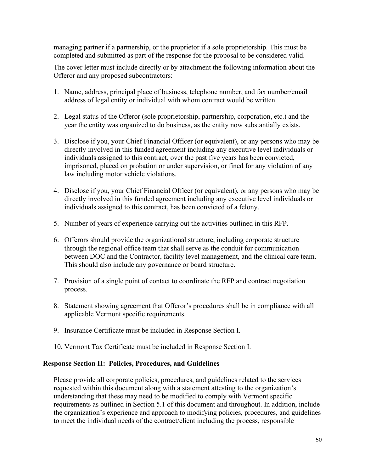managing partner if a partnership, or the proprietor if a sole proprietorship. This must be completed and submitted as part of the response for the proposal to be considered valid.

The cover letter must include directly or by attachment the following information about the Offeror and any proposed subcontractors:

- 1. Name, address, principal place of business, telephone number, and fax number/email address of legal entity or individual with whom contract would be written.
- 2. Legal status of the Offeror (sole proprietorship, partnership, corporation, etc.) and the year the entity was organized to do business, as the entity now substantially exists.
- 3. Disclose if you, your Chief Financial Officer (or equivalent), or any persons who may be directly involved in this funded agreement including any executive level individuals or individuals assigned to this contract, over the past five years has been convicted, imprisoned, placed on probation or under supervision, or fined for any violation of any law including motor vehicle violations.
- 4. Disclose if you, your Chief Financial Officer (or equivalent), or any persons who may be directly involved in this funded agreement including any executive level individuals or individuals assigned to this contract, has been convicted of a felony.
- 5. Number of years of experience carrying out the activities outlined in this RFP.
- 6. Offerors should provide the organizational structure, including corporate structure through the regional office team that shall serve as the conduit for communication between DOC and the Contractor, facility level management, and the clinical care team. This should also include any governance or board structure.
- 7. Provision of a single point of contact to coordinate the RFP and contract negotiation process.
- 8. Statement showing agreement that Offeror's procedures shall be in compliance with all applicable Vermont specific requirements.
- 9. Insurance Certificate must be included in Response Section I.
- 10. Vermont Tax Certificate must be included in Response Section I.

#### **Response Section II: Policies, Procedures, and Guidelines**

Please provide all corporate policies, procedures, and guidelines related to the services requested within this document along with a statement attesting to the organization's understanding that these may need to be modified to comply with Vermont specific requirements as outlined in Section 5.1 of this document and throughout. In addition, include the organization's experience and approach to modifying policies, procedures, and guidelines to meet the individual needs of the contract/client including the process, responsible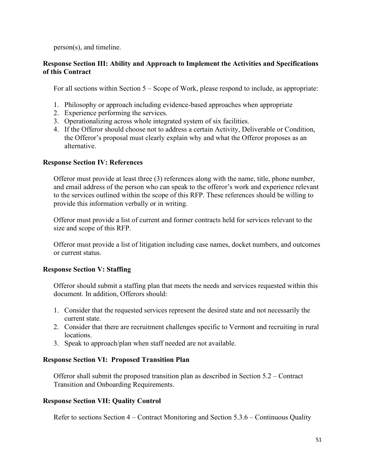person(s), and timeline.

#### **Response Section III: Ability and Approach to Implement the Activities and Specifications of this Contract**

For all sections within Section 5 – Scope of Work, please respond to include, as appropriate:

- 1. Philosophy or approach including evidence-based approaches when appropriate
- 2. Experience performing the services.
- 3. Operationalizing across whole integrated system of six facilities.
- 4. If the Offeror should choose not to address a certain Activity, Deliverable or Condition, the Offeror's proposal must clearly explain why and what the Offeror proposes as an alternative.

#### **Response Section IV: References**

Offeror must provide at least three (3) references along with the name, title, phone number, and email address of the person who can speak to the offeror's work and experience relevant to the services outlined within the scope of this RFP. These references should be willing to provide this information verbally or in writing.

Offeror must provide a list of current and former contracts held for services relevant to the size and scope of this RFP.

Offeror must provide a list of litigation including case names, docket numbers, and outcomes or current status.

# **Response Section V: Staffing**

Offeror should submit a staffing plan that meets the needs and services requested within this document. In addition, Offerors should:

- 1. Consider that the requested services represent the desired state and not necessarily the current state.
- 2. Consider that there are recruitment challenges specific to Vermont and recruiting in rural locations.
- 3. Speak to approach/plan when staff needed are not available.

#### **Response Section VI: Proposed Transition Plan**

Offeror shall submit the proposed transition plan as described in Section 5.2 – Contract Transition and Onboarding Requirements.

#### **Response Section VII: Quality Control**

Refer to sections Section 4 – Contract Monitoring and Section 5.3.6 – Continuous Quality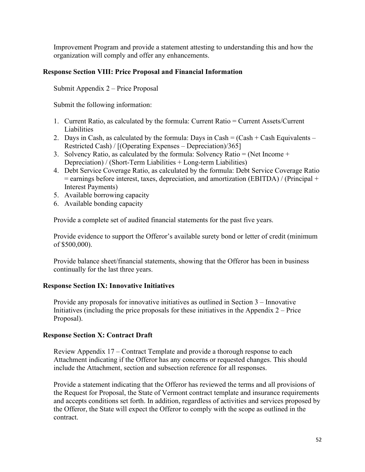Improvement Program and provide a statement attesting to understanding this and how the organization will comply and offer any enhancements.

# **Response Section VIII: Price Proposal and Financial Information**

Submit Appendix 2 – Price Proposal

Submit the following information:

- 1. Current Ratio, as calculated by the formula: Current Ratio = Current Assets/Current Liabilities
- 2. Days in Cash, as calculated by the formula: Days in Cash =  $(Cash + Cash$  Equivalents Restricted Cash) / [(Operating Expenses – Depreciation)/365]
- 3. Solvency Ratio, as calculated by the formula: Solvency Ratio = (Net Income  $+$ Depreciation) / (Short-Term Liabilities + Long-term Liabilities)
- 4. Debt Service Coverage Ratio, as calculated by the formula: Debt Service Coverage Ratio  $=$  earnings before interest, taxes, depreciation, and amortization (EBITDA) / (Principal  $+$ Interest Payments)
- 5. Available borrowing capacity
- 6. Available bonding capacity

Provide a complete set of audited financial statements for the past five years.

Provide evidence to support the Offeror's available surety bond or letter of credit (minimum of \$500,000).

Provide balance sheet/financial statements, showing that the Offeror has been in business continually for the last three years.

#### **Response Section IX: Innovative Initiatives**

Provide any proposals for innovative initiatives as outlined in Section 3 – Innovative Initiatives (including the price proposals for these initiatives in the Appendix  $2$  – Price Proposal).

#### **Response Section X: Contract Draft**

Review Appendix 17 – Contract Template and provide a thorough response to each Attachment indicating if the Offeror has any concerns or requested changes. This should include the Attachment, section and subsection reference for all responses.

Provide a statement indicating that the Offeror has reviewed the terms and all provisions of the Request for Proposal, the State of Vermont contract template and insurance requirements and accepts conditions set forth. In addition, regardless of activities and services proposed by the Offeror, the State will expect the Offeror to comply with the scope as outlined in the contract.